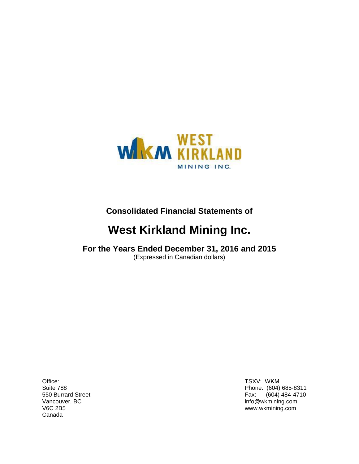

**Consolidated Financial Statements of**

# **West Kirkland Mining Inc.**

### **For the Years Ended December 31, 2016 and 2015** (Expressed in Canadian dollars)

Office: TSXV: WKM Canada

Suite 788 Phone: (604) 685-8311 550 Burrard Street Fax: (604) 484-4710 Vancouver, BC info@wkmining.com V6C 2B5 www.wkmining.com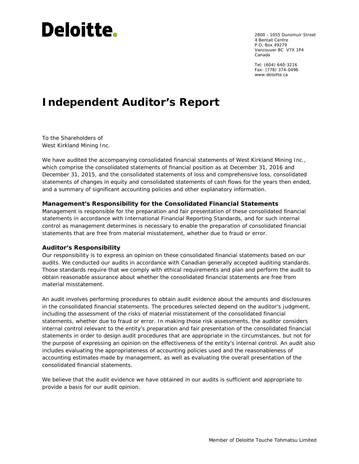# **Deloitte.**

2800 - 1055 Dunsmuir Street 4 Bentall Centre P.O. Box 49279 Vancouver BC V7X 1P4 Canada

Tel: (604) 640-3216 Fax: (778) 374-0496 www.deloitte.ca

## **Independent Auditor's Report**

To the Shareholders of West Kirkland Mining Inc.

We have audited the accompanying consolidated financial statements of West Kirkland Mining Inc., which comprise the consolidated statements of financial position as at December 31, 2016 and December 31, 2015, and the consolidated statements of loss and comprehensive loss, consolidated statements of changes in equity and consolidated statements of cash flows for the years then ended, and a summary of significant accounting policies and other explanatory information.

#### **Management's Responsibility for the Consolidated Financial Statements**

Management is responsible for the preparation and fair presentation of these consolidated financial statements in accordance with International Financial Reporting Standards, and for such internal control as management determines is necessary to enable the preparation of consolidated financial statements that are free from material misstatement, whether due to fraud or error.

#### **Auditor's Responsibility**

Our responsibility is to express an opinion on these consolidated financial statements based on our audits. We conducted our audits in accordance with Canadian generally accepted auditing standards. Those standards require that we comply with ethical requirements and plan and perform the audit to obtain reasonable assurance about whether the consolidated financial statements are free from material misstatement.

An audit involves performing procedures to obtain audit evidence about the amounts and disclosures in the consolidated financial statements. The procedures selected depend on the auditor's judgment, including the assessment of the risks of material misstatement of the consolidated financial statements, whether due to fraud or error. In making those risk assessments, the auditor considers internal control relevant to the entity's preparation and fair presentation of the consolidated financial statements in order to design audit procedures that are appropriate in the circumstances, but not for the purpose of expressing an opinion on the effectiveness of the entity's internal control. An audit also includes evaluating the appropriateness of accounting policies used and the reasonableness of accounting estimates made by management, as well as evaluating the overall presentation of the consolidated financial statements.

We believe that the audit evidence we have obtained in our audits is sufficient and appropriate to provide a basis for our audit opinion.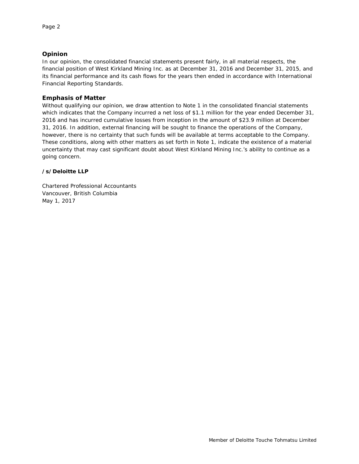#### **Opinion**

In our opinion, the consolidated financial statements present fairly, in all material respects, the financial position of West Kirkland Mining Inc. as at December 31, 2016 and December 31, 2015, and its financial performance and its cash flows for the years then ended in accordance with International Financial Reporting Standards.

#### **Emphasis of Matter**

Without qualifying our opinion, we draw attention to Note 1 in the consolidated financial statements which indicates that the Company incurred a net loss of \$1.1 million for the year ended December 31, 2016 and has incurred cumulative losses from inception in the amount of \$23.9 million at December 31, 2016. In addition, external financing will be sought to finance the operations of the Company, however, there is no certainty that such funds will be available at terms acceptable to the Company. These conditions, along with other matters as set forth in Note 1, indicate the existence of a material uncertainty that may cast significant doubt about West Kirkland Mining Inc.'s ability to continue as a going concern.

#### */s/Deloitte LLP*

Chartered Professional Accountants Vancouver, British Columbia May 1, 2017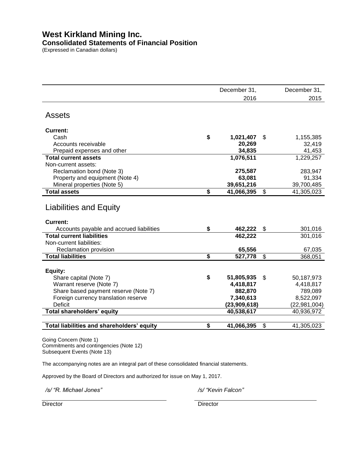### **West Kirkland Mining Inc. Consolidated Statements of Financial Position**

(Expressed in Canadian dollars)

|                                            |                             | December 31, |                | December 31, |
|--------------------------------------------|-----------------------------|--------------|----------------|--------------|
|                                            |                             | 2016         |                | 2015         |
|                                            |                             |              |                |              |
|                                            |                             |              |                |              |
| <b>Assets</b>                              |                             |              |                |              |
|                                            |                             |              |                |              |
| <b>Current:</b>                            |                             |              |                |              |
| Cash                                       | \$                          | 1,021,407    | \$             | 1,155,385    |
| Accounts receivable                        |                             | 20,269       |                | 32,419       |
| Prepaid expenses and other                 |                             | 34,835       |                | 41,453       |
| <b>Total current assets</b>                |                             | 1,076,511    |                | 1,229,257    |
| Non-current assets:                        |                             |              |                |              |
| Reclamation bond (Note 3)                  |                             | 275,587      |                | 283,947      |
| Property and equipment (Note 4)            |                             | 63,081       |                | 91,334       |
| Mineral properties (Note 5)                |                             | 39,651,216   |                | 39,700,485   |
| <b>Total assets</b>                        | $\overline{\boldsymbol{s}}$ | 41,066,395   | \$             | 41,305,023   |
|                                            |                             |              |                |              |
|                                            |                             |              |                |              |
| <b>Liabilities and Equity</b>              |                             |              |                |              |
|                                            |                             |              |                |              |
| Current:                                   |                             |              |                |              |
| Accounts payable and accrued liabilities   | \$                          | 462,222      | \$             | 301,016      |
| <b>Total current liabilities</b>           |                             | 462,222      |                | 301,016      |
| Non-current liabilities:                   |                             |              |                |              |
| Reclamation provision                      |                             | 65,556       |                | 67,035       |
| <b>Total liabilities</b>                   | \$                          | 527,778      | $\mathfrak{F}$ | 368,051      |
|                                            |                             |              |                |              |
| Equity:                                    |                             |              |                |              |
| Share capital (Note 7)                     | \$                          | 51,805,935   | \$             | 50,187,973   |
| Warrant reserve (Note 7)                   |                             | 4,418,817    |                | 4,418,817    |
| Share based payment reserve (Note 7)       |                             | 882,870      |                | 789,089      |
| Foreign currency translation reserve       |                             | 7,340,613    |                | 8,522,097    |
| <b>Deficit</b>                             |                             | (23,909,618) |                | (22,981,004) |
| Total shareholders' equity                 |                             | 40,538,617   |                | 40,936,972   |
|                                            |                             |              |                |              |
| Total liabilities and shareholders' equity | \$                          | 41,066,395   | \$             | 41,305,023   |
|                                            |                             |              |                |              |

Going Concern (Note 1) Commitments and contingencies (Note 12) Subsequent Events (Note 13)

The accompanying notes are an integral part of these consolidated financial statements.

Approved by the Board of Directors and authorized for issue on May 1, 2017.

*/s/ "R. Michael Jones" /s/ "Kevin Falcon"*

Director Director Director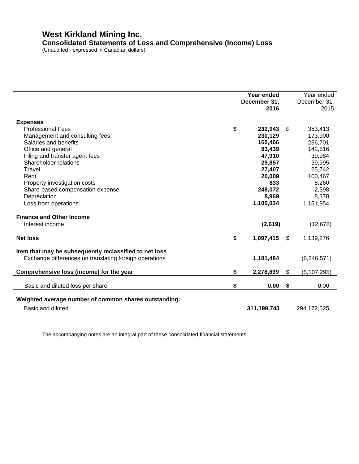### **West Kirkland Mining Inc. Consolidated Statements of Loss and Comprehensive (Income) Loss**

(Unaudited - expressed in Canadian dollars)

|                                                        | Year ended   | Year ended          |
|--------------------------------------------------------|--------------|---------------------|
|                                                        | December 31, | December 31,        |
|                                                        | 2016         | 2015                |
|                                                        |              |                     |
| <b>Expenses</b>                                        |              |                     |
| \$<br><b>Professional Fees</b>                         | 232,943      | \$<br>353,413       |
| Management and consulting fees                         | 230,129      | 173,900             |
| Salaries and benefits                                  | 160,466      | 236,701             |
| Office and general                                     | 93,439       | 142,516             |
| Filing and transfer agent fees                         | 47,910       | 39,984              |
| Shareholder relations                                  | 29,857       | 59,995              |
| Travel                                                 | 27,407       | 25,742              |
| Rent                                                   | 20,009       | 100,467             |
| Property investigation costs                           | 833          | 8,260               |
| Share-based compensation expense                       | 248,072      | 2,598               |
| Depreciation                                           | 8,969        | 8,378               |
| Loss from operations                                   | 1,100,034    | 1,151,954           |
|                                                        |              |                     |
| <b>Finance and Other Income</b>                        |              |                     |
| Interest income                                        | (2,619)      | (12, 678)           |
|                                                        |              |                     |
| \$<br><b>Net loss</b>                                  | 1,097,415    | \$<br>1,139,276     |
| Item that may be subsequently reclassified to net loss |              |                     |
|                                                        |              |                     |
| Exchange differences on translating foreign operations | 1,181,484    | (6, 246, 571)       |
| \$<br>Comprehensive loss (income) for the year         | 2,278,899    | \$<br>(5, 107, 295) |
|                                                        |              |                     |
| \$<br>Basic and diluted loss per share                 | 0.00         | \$<br>0.00          |
|                                                        |              |                     |
| Weighted average number of common shares outstanding:  |              |                     |
| Basic and diluted                                      | 311,199,743  | 294, 172, 525       |
|                                                        |              |                     |

The accompanying notes are an integral part of these consolidated financial statements.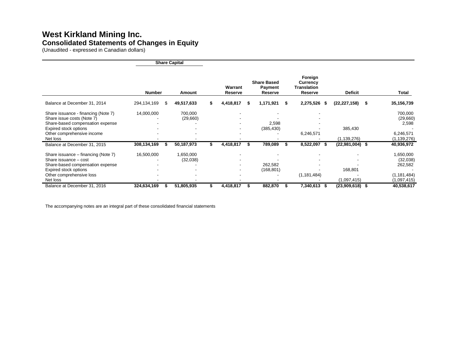### **West Kirkland Mining Inc. Consolidated Statements of Changes in Equity**

(Unaudited - expressed in Canadian dollars)

|                                                                                                                                                                   |               |     | <b>Share Capital</b>  |                    |    |                                                 |      |                                                      |                          |      |                                                                  |
|-------------------------------------------------------------------------------------------------------------------------------------------------------------------|---------------|-----|-----------------------|--------------------|----|-------------------------------------------------|------|------------------------------------------------------|--------------------------|------|------------------------------------------------------------------|
|                                                                                                                                                                   | <b>Number</b> |     | Amount                | Warrant<br>Reserve |    | <b>Share Based</b><br><b>Payment</b><br>Reserve |      | Foreign<br>Currency<br><b>Translation</b><br>Reserve | <b>Deficit</b>           |      | Total                                                            |
| Balance at December 31, 2014                                                                                                                                      | 294,134,169   | -SS | 49,517,633            | 4,418,817          | ж, | 1,171,921                                       | - 56 | 2,275,526 \$                                         | (22, 227, 158)           | - 56 | 35,156,739                                                       |
| Share issuance - financing (Note 7)<br>Share issue costs (Note 7)<br>Share-based compensation expense                                                             | 14,000,000    |     | 700,000<br>(29,660)   |                    |    | 2,598                                           |      |                                                      |                          |      | 700,000<br>(29,660)<br>2,598                                     |
| Expired stock options<br>Other comprehensive income<br>Net loss                                                                                                   |               |     |                       |                    |    | (385, 430)                                      |      | 6,246,571                                            | 385,430<br>(1, 139, 276) |      | 6,246,571<br>(1, 139, 276)                                       |
| Balance at December 31, 2015                                                                                                                                      | 308,134,169   |     | 50,187,973            | 4,418,817          |    | 789,089                                         |      | 8,522,097 \$                                         | $(22,981,004)$ \$        |      | 40,936,972                                                       |
| Share issuance – financing (Note 7)<br>Share issuance - cost<br>Share-based compensation expense<br>Expired stock options<br>Other comprehensive loss<br>Net loss | 16,500,000    |     | 1,650,000<br>(32,038) |                    |    | 262,582<br>(168, 801)                           |      | (1, 181, 484)                                        | 168,801<br>(1,097,415)   |      | 1,650,000<br>(32,038)<br>262,582<br>(1, 181, 484)<br>(1,097,415) |
| Balance at December 31, 2016                                                                                                                                      | 324,634,169   |     | 51,805,935            | 4,418,817          |    | 882,870                                         |      | 7,340,613 \$                                         | $(23,909,618)$ \$        |      | 40,538,617                                                       |

The accompanying notes are an integral part of these consolidated financial statements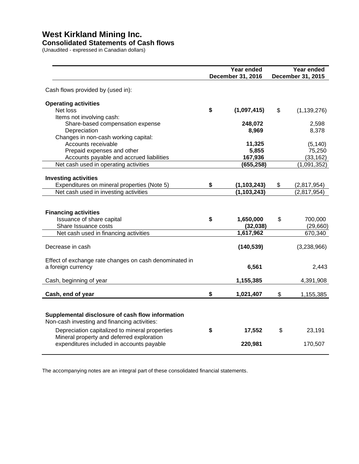### **West Kirkland Mining Inc. Consolidated Statements of Cash flows**

(Unaudited - expressed in Canadian dollars)

|                                                        | Year ended<br>December 31, 2016 |               | Year ended<br>December 31, 2015 |
|--------------------------------------------------------|---------------------------------|---------------|---------------------------------|
|                                                        |                                 |               |                                 |
| Cash flows provided by (used in):                      |                                 |               |                                 |
| <b>Operating activities</b>                            |                                 |               |                                 |
| Net loss                                               | \$                              | (1,097,415)   | \$<br>(1, 139, 276)             |
| Items not involving cash:                              |                                 |               |                                 |
| Share-based compensation expense                       |                                 | 248,072       | 2,598                           |
| Depreciation                                           |                                 | 8,969         | 8,378                           |
| Changes in non-cash working capital:                   |                                 |               |                                 |
| Accounts receivable                                    |                                 | 11,325        | (5, 140)                        |
| Prepaid expenses and other                             |                                 | 5,855         | 75,250                          |
| Accounts payable and accrued liabilities               |                                 | 167,936       | (33, 162)                       |
| Net cash used in operating activities                  |                                 | (655, 258)    | (1,091,352)                     |
|                                                        |                                 |               |                                 |
| <b>Investing activities</b>                            |                                 |               |                                 |
| Expenditures on mineral properties (Note 5)            | \$                              | (1, 103, 243) | \$<br>(2,817,954)               |
| Net cash used in investing activities                  |                                 | (1, 103, 243) | (2,817,954)                     |
|                                                        |                                 |               |                                 |
| <b>Financing activities</b>                            |                                 |               |                                 |
| Issuance of share capital                              | S                               | 1,650,000     | \$<br>700,000                   |
| Share Issuance costs                                   |                                 | (32, 038)     | (29,660)                        |
| Net cash used in financing activities                  |                                 | 1,617,962     | 670,340                         |
| Decrease in cash                                       |                                 | (140, 539)    | (3,238,966)                     |
|                                                        |                                 |               |                                 |
| Effect of exchange rate changes on cash denominated in |                                 |               |                                 |
| a foreign currency                                     |                                 | 6,561         | 2,443                           |
| Cash, beginning of year                                |                                 | 1,155,385     | 4,391,908                       |
|                                                        |                                 |               |                                 |
| Cash, end of year                                      | \$                              | 1,021,407     | \$<br>1,155,385                 |
|                                                        |                                 |               |                                 |
| Supplemental disclosure of cash flow information       |                                 |               |                                 |
| Non-cash investing and financing activities:           |                                 |               |                                 |
| Depreciation capitalized to mineral properties         | \$                              | 17,552        | \$<br>23,191                    |
| Mineral property and deferred exploration              |                                 |               |                                 |
| expenditures included in accounts payable              |                                 | 220,981       | 170,507                         |
|                                                        |                                 |               |                                 |

The accompanying notes are an integral part of these consolidated financial statements.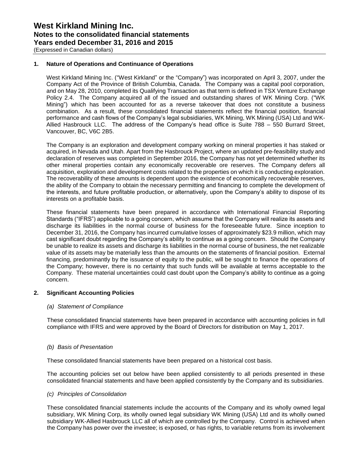#### **1. Nature of Operations and Continuance of Operations**

West Kirkland Mining Inc. ("West Kirkland" or the "Company") was incorporated on April 3, 2007, under the Company Act of the Province of British Columbia, Canada. The Company was a capital pool corporation, and on May 28, 2010, completed its Qualifying Transaction as that term is defined in TSX Venture Exchange Policy 2.4. The Company acquired all of the issued and outstanding shares of WK Mining Corp. ("WK Mining") which has been accounted for as a reverse takeover that does not constitute a business combination. As a result, these consolidated financial statements reflect the financial position, financial performance and cash flows of the Company's legal subsidiaries, WK Mining, WK Mining (USA) Ltd and WK-Allied Hasbrouck LLC. The address of the Company's head office is Suite 788 – 550 Burrard Street, Vancouver, BC, V6C 2B5.

The Company is an exploration and development company working on mineral properties it has staked or acquired, in Nevada and Utah. Apart from the Hasbrouck Project, where an updated pre-feasibility study and declaration of reserves was completed in September 2016, the Company has not yet determined whether its other mineral properties contain any economically recoverable ore reserves. The Company defers all acquisition, exploration and development costs related to the properties on which it is conducting exploration. The recoverability of these amounts is dependent upon the existence of economically recoverable reserves, the ability of the Company to obtain the necessary permitting and financing to complete the development of the interests, and future profitable production, or alternatively, upon the Company's ability to dispose of its interests on a profitable basis.

These financial statements have been prepared in accordance with International Financial Reporting Standards ("IFRS") applicable to a going concern, which assume that the Company will realize its assets and discharge its liabilities in the normal course of business for the foreseeable future. Since inception to December 31, 2016, the Company has incurred cumulative losses of approximately \$23.9 million, which may cast significant doubt regarding the Company's ability to continue as a going concern. Should the Company be unable to realize its assets and discharge its liabilities in the normal course of business, the net realizable value of its assets may be materially less than the amounts on the statements of financial position. External financing, predominantly by the issuance of equity to the public, will be sought to finance the operations of the Company; however, there is no certainty that such funds will be available at terms acceptable to the Company. These material uncertainties could cast doubt upon the Company's ability to continue as a going concern.

#### **2. Significant Accounting Policies**

#### *(a) Statement of Compliance*

These consolidated financial statements have been prepared in accordance with accounting policies in full compliance with IFRS and were approved by the Board of Directors for distribution on May 1, 2017.

#### *(b) Basis of Presentation*

These consolidated financial statements have been prepared on a historical cost basis.

The accounting policies set out below have been applied consistently to all periods presented in these consolidated financial statements and have been applied consistently by the Company and its subsidiaries.

#### *(c) Principles of Consolidation*

These consolidated financial statements include the accounts of the Company and its wholly owned legal subsidiary, WK Mining Corp, its wholly owned legal subsidiary WK Mining (USA) Ltd and its wholly owned subsidiary WK-Allied Hasbrouck LLC all of which are controlled by the Company. Control is achieved when the Company has power over the investee; is exposed, or has rights, to variable returns from its involvement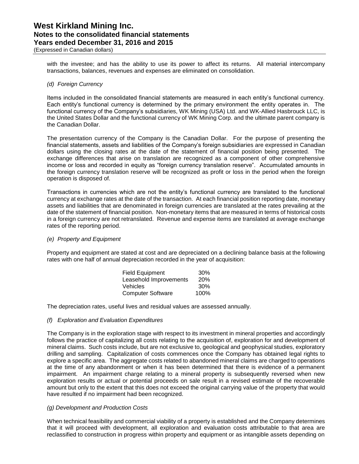(Expressed in Canadian dollars)

with the investee; and has the ability to use its power to affect its returns. All material intercompany transactions, balances, revenues and expenses are eliminated on consolidation.

#### *(d) Foreign Currency*

Items included in the consolidated financial statements are measured in each entity's functional currency. Each entity's functional currency is determined by the primary environment the entity operates in. The functional currency of the Company's subsidiaries, WK Mining (USA) Ltd. and WK-Allied Hasbrouck LLC, is the United States Dollar and the functional currency of WK Mining Corp. and the ultimate parent company is the Canadian Dollar.

The presentation currency of the Company is the Canadian Dollar. For the purpose of presenting the financial statements, assets and liabilities of the Company's foreign subsidiaries are expressed in Canadian dollars using the closing rates at the date of the statement of financial position being presented. The exchange differences that arise on translation are recognized as a component of other comprehensive income or loss and recorded in equity as "foreign currency translation reserve". Accumulated amounts in the foreign currency translation reserve will be recognized as profit or loss in the period when the foreign operation is disposed of.

Transactions in currencies which are not the entity's functional currency are translated to the functional currency at exchange rates at the date of the transaction. At each financial position reporting date, monetary assets and liabilities that are denominated in foreign currencies are translated at the rates prevailing at the date of the statement of financial position. Non-monetary items that are measured in terms of historical costs in a foreign currency are not retranslated. Revenue and expense items are translated at average exchange rates of the reporting period.

#### *(e) Property and Equipment*

Property and equipment are stated at cost and are depreciated on a declining balance basis at the following rates with one half of annual depreciation recorded in the year of acquisition:

| <b>Field Equipment</b>   | 30%             |
|--------------------------|-----------------|
| Leasehold Improvements   | <b>20%</b>      |
| Vehicles                 | 30 <sup>%</sup> |
| <b>Computer Software</b> | 100%            |

The depreciation rates, useful lives and residual values are assessed annually.

#### *(f) Exploration and Evaluation Expenditures*

The Company is in the exploration stage with respect to its investment in mineral properties and accordingly follows the practice of capitalizing all costs relating to the acquisition of, exploration for and development of mineral claims. Such costs include, but are not exclusive to, geological and geophysical studies, exploratory drilling and sampling. Capitalization of costs commences once the Company has obtained legal rights to explore a specific area. The aggregate costs related to abandoned mineral claims are charged to operations at the time of any abandonment or when it has been determined that there is evidence of a permanent impairment. An impairment charge relating to a mineral property is subsequently reversed when new exploration results or actual or potential proceeds on sale result in a revised estimate of the recoverable amount but only to the extent that this does not exceed the original carrying value of the property that would have resulted if no impairment had been recognized.

#### *(g) Development and Production Costs*

When technical feasibility and commercial viability of a property is established and the Company determines that it will proceed with development, all exploration and evaluation costs attributable to that area are reclassified to construction in progress within property and equipment or as intangible assets depending on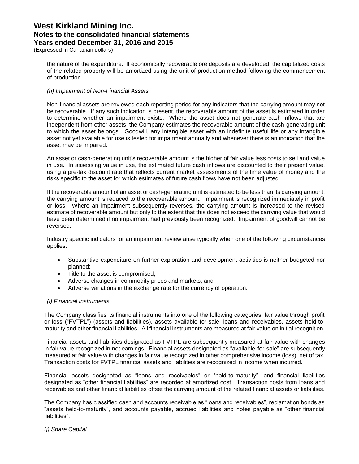(Expressed in Canadian dollars)

the nature of the expenditure. If economically recoverable ore deposits are developed, the capitalized costs of the related property will be amortized using the unit-of-production method following the commencement of production.

#### *(h) Impairment of Non-Financial Assets*

Non-financial assets are reviewed each reporting period for any indicators that the carrying amount may not be recoverable. If any such indication is present, the recoverable amount of the asset is estimated in order to determine whether an impairment exists. Where the asset does not generate cash inflows that are independent from other assets, the Company estimates the recoverable amount of the cash-generating unit to which the asset belongs. Goodwill, any intangible asset with an indefinite useful life or any intangible asset not yet available for use is tested for impairment annually and whenever there is an indication that the asset may be impaired.

An asset or cash-generating unit's recoverable amount is the higher of fair value less costs to sell and value in use. In assessing value in use, the estimated future cash inflows are discounted to their present value, using a pre-tax discount rate that reflects current market assessments of the time value of money and the risks specific to the asset for which estimates of future cash flows have not been adjusted.

If the recoverable amount of an asset or cash-generating unit is estimated to be less than its carrying amount, the carrying amount is reduced to the recoverable amount. Impairment is recognized immediately in profit or loss. Where an impairment subsequently reverses, the carrying amount is increased to the revised estimate of recoverable amount but only to the extent that this does not exceed the carrying value that would have been determined if no impairment had previously been recognized. Impairment of goodwill cannot be reversed.

Industry specific indicators for an impairment review arise typically when one of the following circumstances applies:

- Substantive expenditure on further exploration and development activities is neither budgeted nor planned;
- Title to the asset is compromised;
- Adverse changes in commodity prices and markets; and
- Adverse variations in the exchange rate for the currency of operation.

#### *(i) Financial Instruments*

The Company classifies its financial instruments into one of the following categories: fair value through profit or loss ("FVTPL") (assets and liabilities), assets available-for-sale, loans and receivables, assets held-tomaturity and other financial liabilities. All financial instruments are measured at fair value on initial recognition.

Financial assets and liabilities designated as FVTPL are subsequently measured at fair value with changes in fair value recognized in net earnings. Financial assets designated as "available-for-sale" are subsequently measured at fair value with changes in fair value recognized in other comprehensive income (loss), net of tax. Transaction costs for FVTPL financial assets and liabilities are recognized in income when incurred.

Financial assets designated as "loans and receivables" or "held-to-maturity", and financial liabilities designated as "other financial liabilities" are recorded at amortized cost. Transaction costs from loans and receivables and other financial liabilities offset the carrying amount of the related financial assets or liabilities.

The Company has classified cash and accounts receivable as "loans and receivables", reclamation bonds as "assets held-to-maturity", and accounts payable, accrued liabilities and notes payable as "other financial liabilities".

*(j) Share Capital*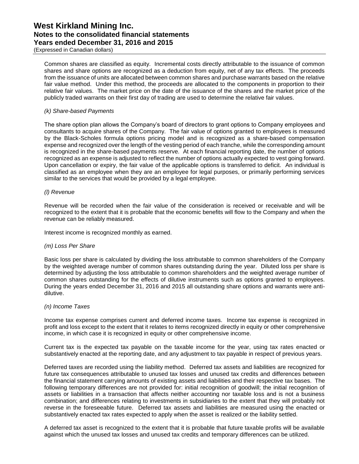(Expressed in Canadian dollars)

Common shares are classified as equity. Incremental costs directly attributable to the issuance of common shares and share options are recognized as a deduction from equity, net of any tax effects. The proceeds from the issuance of units are allocated between common shares and purchase warrants based on the relative fair value method. Under this method, the proceeds are allocated to the components in proportion to their relative fair values. The market price on the date of the issuance of the shares and the market price of the publicly traded warrants on their first day of trading are used to determine the relative fair values.

#### *(k) Share-based Payments*

The share option plan allows the Company's board of directors to grant options to Company employees and consultants to acquire shares of the Company. The fair value of options granted to employees is measured by the Black-Scholes formula options pricing model and is recognized as a share-based compensation expense and recognized over the length of the vesting period of each tranche, while the corresponding amount is recognized in the share-based payments reserve. At each financial reporting date, the number of options recognized as an expense is adjusted to reflect the number of options actually expected to vest going forward. Upon cancellation or expiry, the fair value of the applicable options is transferred to deficit. An individual is classified as an employee when they are an employee for legal purposes, or primarily performing services similar to the services that would be provided by a legal employee.

#### *(l) Revenue*

Revenue will be recorded when the fair value of the consideration is received or receivable and will be recognized to the extent that it is probable that the economic benefits will flow to the Company and when the revenue can be reliably measured.

Interest income is recognized monthly as earned.

#### *(m) Loss Per Share*

Basic loss per share is calculated by dividing the loss attributable to common shareholders of the Company by the weighted average number of common shares outstanding during the year. Diluted loss per share is determined by adjusting the loss attributable to common shareholders and the weighted average number of common shares outstanding for the effects of dilutive instruments such as options granted to employees. During the years ended December 31, 2016 and 2015 all outstanding share options and warrants were antidilutive.

#### *(n) Income Taxes*

Income tax expense comprises current and deferred income taxes. Income tax expense is recognized in profit and loss except to the extent that it relates to items recognized directly in equity or other comprehensive income, in which case it is recognized in equity or other comprehensive income.

Current tax is the expected tax payable on the taxable income for the year, using tax rates enacted or substantively enacted at the reporting date, and any adjustment to tax payable in respect of previous years.

Deferred taxes are recorded using the liability method. Deferred tax assets and liabilities are recognized for future tax consequences attributable to unused tax losses and unused tax credits and differences between the financial statement carrying amounts of existing assets and liabilities and their respective tax bases. The following temporary differences are not provided for: initial recognition of goodwill; the initial recognition of assets or liabilities in a transaction that affects neither accounting nor taxable loss and is not a business combination; and differences relating to investments in subsidiaries to the extent that they will probably not reverse in the foreseeable future. Deferred tax assets and liabilities are measured using the enacted or substantively enacted tax rates expected to apply when the asset is realized or the liability settled.

A deferred tax asset is recognized to the extent that it is probable that future taxable profits will be available against which the unused tax losses and unused tax credits and temporary differences can be utilized.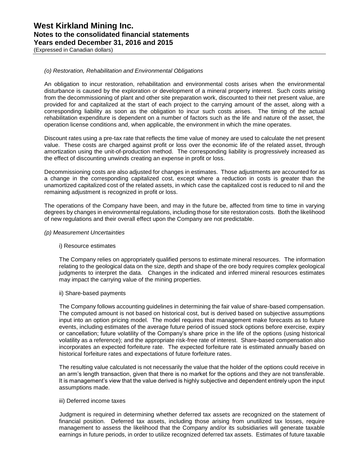#### *(o) Restoration, Rehabilitation and Environmental Obligations*

An obligation to incur restoration, rehabilitation and environmental costs arises when the environmental disturbance is caused by the exploration or development of a mineral property interest. Such costs arising from the decommissioning of plant and other site preparation work, discounted to their net present value, are provided for and capitalized at the start of each project to the carrying amount of the asset, along with a corresponding liability as soon as the obligation to incur such costs arises. The timing of the actual rehabilitation expenditure is dependent on a number of factors such as the life and nature of the asset, the operation license conditions and, when applicable, the environment in which the mine operates.

Discount rates using a pre-tax rate that reflects the time value of money are used to calculate the net present value. These costs are charged against profit or loss over the economic life of the related asset, through amortization using the unit-of-production method. The corresponding liability is progressively increased as the effect of discounting unwinds creating an expense in profit or loss.

Decommissioning costs are also adjusted for changes in estimates. Those adjustments are accounted for as a change in the corresponding capitalized cost, except where a reduction in costs is greater than the unamortized capitalized cost of the related assets, in which case the capitalized cost is reduced to nil and the remaining adjustment is recognized in profit or loss.

The operations of the Company have been, and may in the future be, affected from time to time in varying degrees by changes in environmental regulations, including those for site restoration costs. Both the likelihood of new regulations and their overall effect upon the Company are not predictable.

#### *(p) Measurement Uncertainties*

#### i) Resource estimates

The Company relies on appropriately qualified persons to estimate mineral resources. The information relating to the geological data on the size, depth and shape of the ore body requires complex geological judgments to interpret the data. Changes in the indicated and inferred mineral resources estimates may impact the carrying value of the mining properties.

#### ii) Share-based payments

The Company follows accounting guidelines in determining the fair value of share-based compensation. The computed amount is not based on historical cost, but is derived based on subjective assumptions input into an option pricing model. The model requires that management make forecasts as to future events, including estimates of the average future period of issued stock options before exercise, expiry or cancellation; future volatility of the Company's share price in the life of the options (using historical volatility as a reference); and the appropriate risk-free rate of interest. Share-based compensation also incorporates an expected forfeiture rate. The expected forfeiture rate is estimated annually based on historical forfeiture rates and expectations of future forfeiture rates.

The resulting value calculated is not necessarily the value that the holder of the options could receive in an arm's length transaction, given that there is no market for the options and they are not transferable. It is management's view that the value derived is highly subjective and dependent entirely upon the input assumptions made.

#### iii) Deferred income taxes

Judgment is required in determining whether deferred tax assets are recognized on the statement of financial position. Deferred tax assets, including those arising from unutilized tax losses, require management to assess the likelihood that the Company and/or its subsidiaries will generate taxable earnings in future periods, in order to utilize recognized deferred tax assets. Estimates of future taxable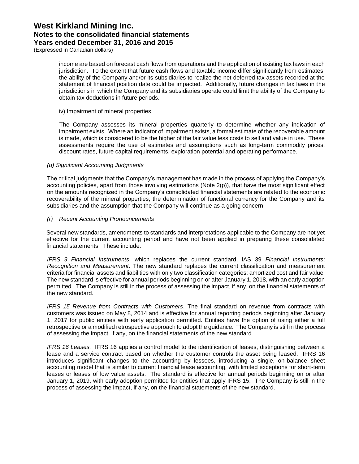income are based on forecast cash flows from operations and the application of existing tax laws in each jurisdiction. To the extent that future cash flows and taxable income differ significantly from estimates, the ability of the Company and/or its subsidiaries to realize the net deferred tax assets recorded at the statement of financial position date could be impacted. Additionally, future changes in tax laws in the jurisdictions in which the Company and its subsidiaries operate could limit the ability of the Company to obtain tax deductions in future periods.

iv) Impairment of mineral properties

The Company assesses its mineral properties quarterly to determine whether any indication of impairment exists. Where an indicator of impairment exists, a formal estimate of the recoverable amount is made, which is considered to be the higher of the fair value less costs to sell and value in use. These assessments require the use of estimates and assumptions such as long-term commodity prices, discount rates, future capital requirements, exploration potential and operating performance.

#### *(q) Significant Accounting Judgments*

The critical judgments that the Company's management has made in the process of applying the Company's accounting policies, apart from those involving estimations (Note 2(p)), that have the most significant effect on the amounts recognized in the Company's consolidated financial statements are related to the economic recoverability of the mineral properties, the determination of functional currency for the Company and its subsidiaries and the assumption that the Company will continue as a going concern.

#### *(r) Recent Accounting Pronouncements*

Several new standards, amendments to standards and interpretations applicable to the Company are not yet effective for the current accounting period and have not been applied in preparing these consolidated financial statements. These include:

*IFRS 9 Financial Instruments*, which replaces the current standard, IAS 39 *Financial Instruments*: *Recognition and Measurement*. The new standard replaces the current classification and measurement criteria for financial assets and liabilities with only two classification categories: amortized cost and fair value. The new standard is effective for annual periods beginning on or after January 1, 2018, with an early adoption permitted. The Company is still in the process of assessing the impact, if any, on the financial statements of the new standard.

*IFRS 15 Revenue from Contracts with Customers*. The final standard on revenue from contracts with customers was issued on May 8, 2014 and is effective for annual reporting periods beginning after January 1, 2017 for public entities with early application permitted. Entities have the option of using either a full retrospective or a modified retrospective approach to adopt the guidance. The Company is still in the process of assessing the impact, if any, on the financial statements of the new standard.

*IFRS 16 Leases.* IFRS 16 applies a control model to the identification of leases, distinguishing between a lease and a service contract based on whether the customer controls the asset being leased. IFRS 16 introduces significant changes to the accounting by lessees, introducing a single, on-balance sheet accounting model that is similar to current financial lease accounting, with limited exceptions for short-term leases or leases of low value assets. The standard is effective for annual periods beginning on or after January 1, 2019, with early adoption permitted for entities that apply IFRS 15. The Company is still in the process of assessing the impact, if any, on the financial statements of the new standard.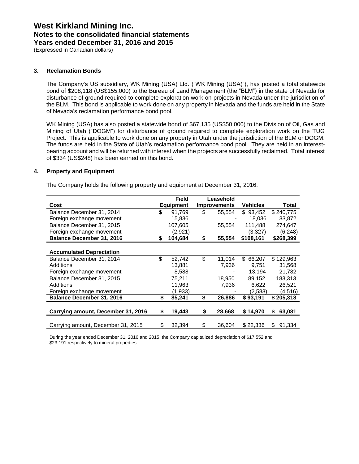(Expressed in Canadian dollars)

#### **3. Reclamation Bonds**

The Company's US subsidiary, WK Mining (USA) Ltd. ("WK Mining (USA)"), has posted a total statewide bond of \$208,118 (US\$155,000) to the Bureau of Land Management (the "BLM") in the state of Nevada for disturbance of ground required to complete exploration work on projects in Nevada under the jurisdiction of the BLM. This bond is applicable to work done on any property in Nevada and the funds are held in the State of Nevada's reclamation performance bond pool.

WK Mining (USA) has also posted a statewide bond of \$67,135 (US\$50,000) to the Division of Oil, Gas and Mining of Utah ("DOGM") for disturbance of ground required to complete exploration work on the TUG Project. This is applicable to work done on any property in Utah under the jurisdiction of the BLM or DOGM. The funds are held in the State of Utah's reclamation performance bond pool. They are held in an interestbearing account and will be returned with interest when the projects are successfully reclaimed. Total interest of \$334 (US\$248) has been earned on this bond.

#### **4. Property and Equipment**

The Company holds the following property and equipment at December 31, 2016:

|                                    | Field            | Leasehold           |                 |             |
|------------------------------------|------------------|---------------------|-----------------|-------------|
| Cost                               | <b>Equipment</b> | <b>Improvements</b> | <b>Vehicles</b> | Total       |
| Balance December 31, 2014          | \$<br>91.769     | \$<br>55.554        | \$93.452        | \$240,775   |
| Foreign exchange movement          | 15,836           |                     | 18,036          | 33,872      |
| Balance December 31, 2015          | 107,605          | 55,554              | 111,488         | 274,647     |
| Foreign exchange movement          | (2,921)          |                     | (3,327)         | (6, 248)    |
| <b>Balance December 31, 2016</b>   | \$<br>104,684    | \$<br>55,554        | \$108,161       | \$268,399   |
|                                    |                  |                     |                 |             |
| <b>Accumulated Depreciation</b>    |                  |                     |                 |             |
| Balance December 31, 2014          | \$<br>52,742     | \$<br>11,014        | \$<br>66,207    | \$129,963   |
| Additions                          | 13,881           | 7,936               | 9.751           | 31,568      |
| Foreign exchange movement          | 8,588            |                     | 13,194          | 21,782      |
| Balance December 31, 2015          | 75.211           | 18.950              | 89.152          | 183.313     |
| Additions                          | 11,963           | 7,936               | 6,622           | 26,521      |
| Foreign exchange movement          | (1,933)          |                     | (2,583)         | (4, 516)    |
| <b>Balance December 31, 2016</b>   | \$<br>85,241     | \$<br>26,886        | \$93,191        | \$205,318   |
|                                    |                  |                     |                 |             |
| Carrying amount, December 31, 2016 | \$<br>19,443     | \$<br>28,668        | \$14.970        | 63,081<br>S |
| Carrying amount, December 31, 2015 | \$<br>32,394     | \$<br>36,604        | \$22,336        | 91,334<br>S |
|                                    |                  |                     |                 |             |

During the year ended December 31, 2016 and 2015, the Company capitalized depreciation of \$17,552 and \$23,191 respectively to mineral properties.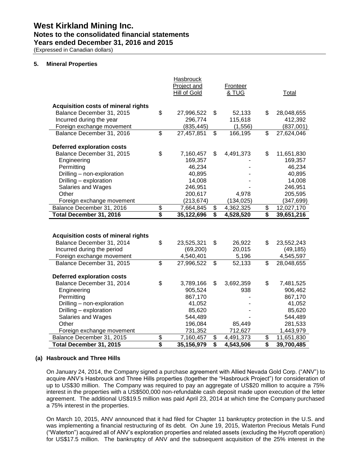#### **Notes to the consolidated financial statements**

**Years ended December 31, 2016 and 2015**

(Expressed in Canadian dollars)

#### **5. Mineral Properties**

|                                                        |                                            | <b>Hasbrouck</b><br>Project and<br>Hill of Gold |                             | <b>Fronteer</b><br>& TUG |          | Total      |
|--------------------------------------------------------|--------------------------------------------|-------------------------------------------------|-----------------------------|--------------------------|----------|------------|
| <b>Acquisition costs of mineral rights</b>             |                                            |                                                 |                             |                          |          |            |
| Balance December 31, 2015                              | \$                                         | 27,996,522                                      | \$                          | 52,133                   | \$       | 28,048,655 |
| Incurred during the year                               |                                            | 296,774                                         |                             | 115,618                  |          | 412,392    |
| Foreign exchange movement                              |                                            | (835, 445)                                      |                             | (1, 556)                 |          | (837,001)  |
| Balance December 31, 2016                              | $\overline{\mathbf{e}}$                    | 27,457,851                                      | \$                          | 166,195                  | \$       | 27,624,046 |
|                                                        |                                            |                                                 |                             |                          |          |            |
| <b>Deferred exploration costs</b>                      |                                            |                                                 |                             |                          |          |            |
| Balance December 31, 2015                              | \$                                         | 7,160,457                                       | \$                          | 4,491,373                | \$       | 11,651,830 |
| Engineering                                            |                                            | 169,357                                         |                             |                          |          | 169,357    |
| Permitting                                             |                                            | 46,234                                          |                             |                          |          | 46,234     |
| Drilling - non-exploration                             |                                            | 40,895                                          |                             |                          |          | 40,895     |
| Drilling - exploration                                 |                                            | 14,008                                          |                             |                          |          | 14,008     |
| Salaries and Wages                                     |                                            | 246,951                                         |                             |                          |          | 246,951    |
| Other                                                  |                                            | 200,617                                         |                             | 4,978                    |          | 205,595    |
| Foreign exchange movement<br>Balance December 31, 2016 | $\frac{1}{2}$                              | (213, 674)                                      | \$                          | (134, 025)<br>4,362,325  |          | (347, 699) |
|                                                        |                                            | 7,664,845                                       |                             |                          | \$       | 12,027,170 |
|                                                        |                                            |                                                 |                             |                          |          |            |
| Total December 31, 2016                                | Ŝ                                          | 35,122,696                                      | $\overline{\boldsymbol{s}}$ | 4,528,520                | \$       | 39,651,216 |
|                                                        |                                            |                                                 |                             |                          |          |            |
|                                                        |                                            |                                                 |                             |                          |          |            |
| <b>Acquisition costs of mineral rights</b>             |                                            |                                                 |                             |                          |          |            |
| Balance December 31, 2014                              | \$                                         | 23,525,321                                      | \$                          | 26,922                   | \$       | 23,552,243 |
| Incurred during the period                             |                                            | (69, 200)                                       |                             | 20,015                   |          | (49, 185)  |
| Foreign exchange movement                              |                                            | 4,540,401                                       |                             | 5,196                    |          | 4,545,597  |
| Balance December 31, 2015                              | $\overline{\mathcal{S}}$                   | 27,996,522                                      | \$                          | 52,133                   | \$       | 28,048,655 |
| <b>Deferred exploration costs</b>                      |                                            |                                                 |                             |                          |          |            |
| Balance December 31, 2014                              | \$                                         | 3,789,166                                       | \$                          | 3,692,359                | \$       | 7,481,525  |
| Engineering                                            |                                            | 905,524                                         |                             | 938                      |          | 906,462    |
| Permitting                                             |                                            | 867,170                                         |                             |                          |          | 867,170    |
| Drilling - non-exploration                             |                                            | 41,052                                          |                             |                          |          | 41,052     |
| Drilling - exploration                                 |                                            | 85,620                                          |                             |                          |          | 85,620     |
| Salaries and Wages                                     |                                            | 544,489                                         |                             |                          |          | 544,489    |
| Other                                                  |                                            | 196,084                                         |                             | 85,449                   |          | 281,533    |
| Foreign exchange movement                              |                                            | 731,352                                         |                             | 712,627                  |          | 1,443,979  |
| Balance December 31, 2015<br>Total December 31, 2015   | \$<br>$\overline{\boldsymbol{\mathsf{s}}}$ | 7,160,457<br>35,156,979                         | \$<br>\$                    | 4,491,373<br>4,543,506   | \$<br>\$ | 11,651,830 |

#### **(a) Hasbrouck and Three Hills**

On January 24, 2014, the Company signed a purchase agreement with Allied Nevada Gold Corp. ("ANV") to acquire ANV's Hasbrouck and Three Hills properties (together the "Hasbrouck Project") for consideration of up to US\$30 million. The Company was required to pay an aggregate of US\$20 million to acquire a 75% interest in the properties with a US\$500,000 non-refundable cash deposit made upon execution of the letter agreement. The additional US\$19.5 million was paid April 23, 2014 at which time the Company purchased a 75% interest in the properties.

On March 10, 2015, ANV announced that it had filed for Chapter 11 bankruptcy protection in the U.S. and was implementing a financial restructuring of its debt. On June 19, 2015, Waterton Precious Metals Fund ("Waterton") acquired all of ANV's exploration properties and related assets (excluding the Hycroft operation) for US\$17.5 million. The bankruptcy of ANV and the subsequent acquisition of the 25% interest in the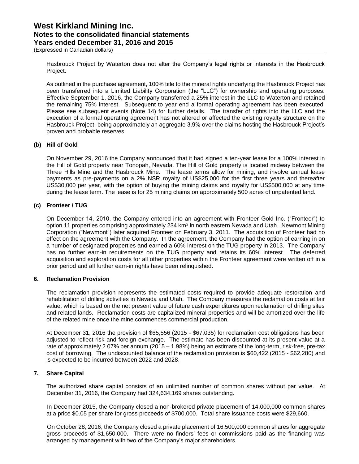(Expressed in Canadian dollars)

Hasbrouck Project by Waterton does not alter the Company's legal rights or interests in the Hasbrouck Project.

As outlined in the purchase agreement, 100% title to the mineral rights underlying the Hasbrouck Project has been transferred into a Limited Liability Corporation (the "LLC") for ownership and operating purposes. Effective September 1, 2016, the Company transferred a 25% interest in the LLC to Waterton and retained the remaining 75% interest. Subsequent to year end a formal operating agreement has been executed. Please see subsequent events (Note 14) for further details. The transfer of rights into the LLC and the execution of a formal operating agreement has not altered or affected the existing royalty structure on the Hasbrouck Project, being approximately an aggregate 3.9% over the claims hosting the Hasbrouck Project's proven and probable reserves.

#### **(b) Hill of Gold**

On November 29, 2016 the Company announced that it had signed a ten-year lease for a 100% interest in the Hill of Gold property near Tonopah, Nevada. The Hill of Gold property is located midway between the Three Hills Mine and the Hasbrouck Mine. The lease terms allow for mining, and involve annual lease payments as pre-payments on a 2% NSR royalty of US\$25,000 for the first three years and thereafter US\$30,000 per year, with the option of buying the mining claims and royalty for US\$500,000 at any time during the lease term. The lease is for 25 mining claims on approximately 500 acres of unpatented land.

#### **(c) Fronteer / TUG**

On December 14, 2010, the Company entered into an agreement with Fronteer Gold Inc. ("Fronteer") to option 11 properties comprising approximately 234 km<sup>2</sup> in north eastern Nevada and Utah. Newmont Mining Corporation ("Newmont") later acquired Fronteer on February 3, 2011. The acquisition of Fronteer had no effect on the agreement with the Company. In the agreement, the Company had the option of earning in on a number of designated properties and earned a 60% interest on the TUG property in 2013. The Company has no further earn-in requirements on the TUG property and retains its 60% interest. The deferred acquisition and exploration costs for all other properties within the Fronteer agreement were written off in a prior period and all further earn-in rights have been relinquished.

#### **6. Reclamation Provision**

The reclamation provision represents the estimated costs required to provide adequate restoration and rehabilitation of drilling activities in Nevada and Utah. The Company measures the reclamation costs at fair value, which is based on the net present value of future cash expenditures upon reclamation of drilling sites and related lands. Reclamation costs are capitalized mineral properties and will be amortized over the life of the related mine once the mine commences commercial production.

At December 31, 2016 the provision of \$65,556 (2015 - \$67,035) for reclamation cost obligations has been adjusted to reflect risk and foreign exchange. The estimate has been discounted at its present value at a rate of approximately 2.07% per annum (2015 – 1.98%) being an estimate of the long-term, risk-free, pre-tax cost of borrowing. The undiscounted balance of the reclamation provision is \$60,422 (2015 - \$62,280) and is expected to be incurred between 2022 and 2028.

#### **7. Share Capital**

The authorized share capital consists of an unlimited number of common shares without par value. At December 31, 2016, the Company had 324,634,169 shares outstanding.

In December 2015, the Company closed a non-brokered private placement of 14,000,000 common shares at a price \$0.05 per share for gross proceeds of \$700,000. Total share issuance costs were \$29,660.

On October 28, 2016, the Company closed a private placement of 16,500,000 common shares for aggregate gross proceeds of \$1,650,000. There were no finders' fees or commissions paid as the financing was arranged by management with two of the Company's major shareholders.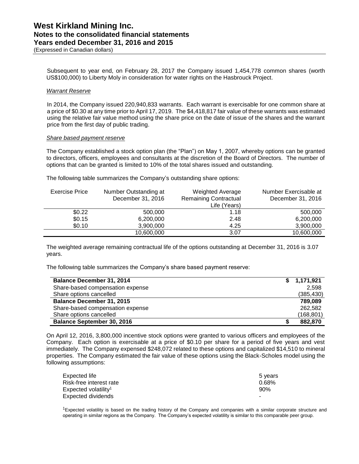Subsequent to year end, on February 28, 2017 the Company issued 1,454,778 common shares (worth US\$100,000) to Liberty Moly in consideration for water rights on the Hasbrouck Project.

#### *Warrant Reserve*

In 2014, the Company issued 220,940,833 warrants. Each warrant is exercisable for one common share at a price of \$0.30 at any time prior to April 17, 2019. The \$4,418,817 fair value of these warrants was estimated using the relative fair value method using the share price on the date of issue of the shares and the warrant price from the first day of public trading.

#### *Share based payment reserve*

The Company established a stock option plan (the "Plan") on May 1, 2007, whereby options can be granted to directors, officers, employees and consultants at the discretion of the Board of Directors. The number of options that can be granted is limited to 10% of the total shares issued and outstanding.

The following table summarizes the Company's outstanding share options:

| Exercise Price | Number Outstanding at<br>December 31, 2016 | <b>Weighted Average</b><br><b>Remaining Contractual</b><br>Life (Years) | Number Exercisable at<br>December 31, 2016 |
|----------------|--------------------------------------------|-------------------------------------------------------------------------|--------------------------------------------|
| \$0.22         | 500,000                                    | 1.18                                                                    | 500,000                                    |
| \$0.15         | 6,200,000                                  | 2.48                                                                    | 6,200,000                                  |
| \$0.10         | 3,900,000                                  | 4.25                                                                    | 3,900,000                                  |
|                | 10,600,000                                 | 3.07                                                                    | 10,600,000                                 |

The weighted average remaining contractual life of the options outstanding at December 31, 2016 is 3.07 years.

The following table summarizes the Company's share based payment reserve:

| <b>Balance December 31, 2014</b>  | S. | 1,171,921  |
|-----------------------------------|----|------------|
| Share-based compensation expense  |    | 2.598      |
| Share options cancelled           |    | (385, 430) |
| <b>Balance December 31, 2015</b>  |    | 789,089    |
| Share-based compensation expense  |    | 262.582    |
| Share options cancelled           |    | (168, 801) |
| <b>Balance September 30, 2016</b> |    | 882.870    |

On April 12, 2016, 3,800,000 incentive stock options were granted to various officers and employees of the Company. Each option is exercisable at a price of \$0.10 per share for a period of five years and vest immediately. The Company expensed \$248,072 related to these options and capitalized \$14,510 to mineral properties. The Company estimated the fair value of these options using the Black-Scholes model using the following assumptions:

| Expected life                    | 5 vears |
|----------------------------------|---------|
| Risk-free interest rate          | 0.68%   |
| Expected volatility <sup>1</sup> | 90%     |
| Expected dividends               |         |

<sup>1</sup>Expected volatility is based on the trading history of the Company and companies with a similar corporate structure and operating in similar regions as the Company. The Company's expected volatility is similar to this comparable peer group.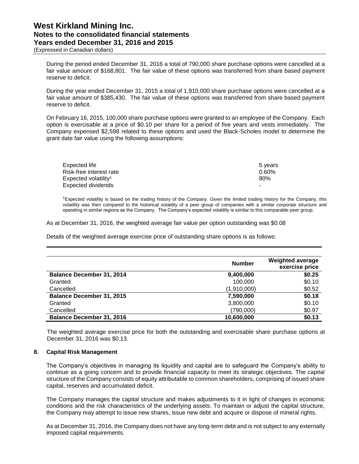(Expressed in Canadian dollars)

During the period ended December 31, 2016 a total of 790,000 share purchase options were cancelled at a fair value amount of \$168,801. The fair value of these options was transferred from share based payment reserve to deficit.

During the year ended December 31, 2015 a total of 1,910,000 share purchase options were cancelled at a fair value amount of \$385,430. The fair value of these options was transferred from share based payment reserve to deficit.

On February 16, 2015, 100,000 share purchase options were granted to an employee of the Company. Each option is exercisable at a price of \$0.10 per share for a period of five years and vests immediately. The Company expensed \$2,598 related to these options and used the Black-Scholes model to determine the grant date fair value using the following assumptions:

| Expected life                      | 5 vears  |
|------------------------------------|----------|
| Risk-free interest rate            | $0.60\%$ |
| $Expected$ volatility <sup>1</sup> | 80%      |
| Expected dividends                 | -        |

<sup>1</sup>Expected volatility is based on the trading history of the Company. Given the limited trading history for the Company, this volatility was then compared to the historical volatility of a peer group of companies with a similar corporate structure and operating in similar regions as the Company. The Company's expected volatility is similar to this comparable peer group.

As at December 31, 2016, the weighted average fair value per option outstanding was \$0.08

Details of the weighted average exercise price of outstanding share options is as follows:

|                                  | <b>Number</b> | <b>Weighted average</b><br>exercise price |
|----------------------------------|---------------|-------------------------------------------|
| <b>Balance December 31, 2014</b> | 9,400,000     | \$0.25                                    |
| Granted                          | 100,000       | \$0.10                                    |
| Cancelled                        | (1,910,000)   | \$0.52                                    |
| <b>Balance December 31, 2015</b> | 7,590,000     | \$0.18                                    |
| Granted                          | 3,800,000     | \$0.10                                    |
| Cancelled                        | (790,000)     | \$0.97                                    |
| <b>Balance December 31, 2016</b> | 10,600,000    | \$0.13                                    |

The weighted average exercise price for both the outstanding and exercisable share purchase options at December 31, 2016 was \$0.13.

#### **8. Capital Risk Management**

The Company's objectives in managing its liquidity and capital are to safeguard the Company's ability to continue as a going concern and to provide financial capacity to meet its strategic objectives. The capital structure of the Company consists of equity attributable to common shareholders, comprising of issued share capital, reserves and accumulated deficit.

The Company manages the capital structure and makes adjustments to it in light of changes in economic conditions and the risk characteristics of the underlying assets. To maintain or adjust the capital structure, the Company may attempt to issue new shares, issue new debt and acquire or dispose of mineral rights.

As at December 31, 2016, the Company does not have any long-term debt and is not subject to any externally imposed capital requirements.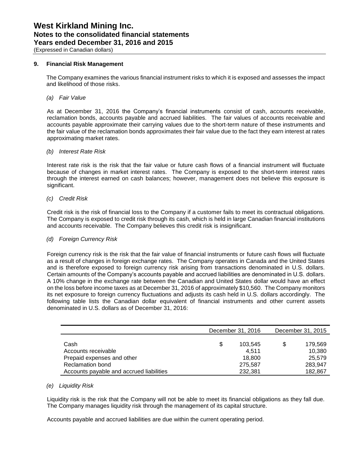(Expressed in Canadian dollars)

#### **9. Financial Risk Management**

The Company examines the various financial instrument risks to which it is exposed and assesses the impact and likelihood of those risks.

*(a) Fair Value*

As at December 31, 2016 the Company's financial instruments consist of cash, accounts receivable, reclamation bonds, accounts payable and accrued liabilities. The fair values of accounts receivable and accounts payable approximate their carrying values due to the short-term nature of these instruments and the fair value of the reclamation bonds approximates their fair value due to the fact they earn interest at rates approximating market rates.

#### *(b) Interest Rate Risk*

Interest rate risk is the risk that the fair value or future cash flows of a financial instrument will fluctuate because of changes in market interest rates. The Company is exposed to the short-term interest rates through the interest earned on cash balances; however, management does not believe this exposure is significant.

#### *(c) Credit Risk*

Credit risk is the risk of financial loss to the Company if a customer fails to meet its contractual obligations. The Company is exposed to credit risk through its cash, which is held in large Canadian financial institutions and accounts receivable. The Company believes this credit risk is insignificant.

#### *(d) Foreign Currency Risk*

Foreign currency risk is the risk that the fair value of financial instruments or future cash flows will fluctuate as a result of changes in foreign exchange rates. The Company operates in Canada and the United States and is therefore exposed to foreign currency risk arising from transactions denominated in U.S. dollars. Certain amounts of the Company's accounts payable and accrued liabilities are denominated in U.S. dollars. A 10% change in the exchange rate between the Canadian and United States dollar would have an effect on the loss before income taxes as at December 31, 2016 of approximately \$10,560. The Company monitors its net exposure to foreign currency fluctuations and adjusts its cash held in U.S. dollars accordingly. The following table lists the Canadian dollar equivalent of financial instruments and other current assets denominated in U.S. dollars as of December 31, 2016:

|                                          | December 31, 2016 | December 31, 2015 |         |  |
|------------------------------------------|-------------------|-------------------|---------|--|
|                                          |                   |                   |         |  |
| Cash                                     | \$<br>103.545     |                   | 179,569 |  |
| Accounts receivable                      | 4.511             |                   | 10,380  |  |
| Prepaid expenses and other               | 18,800            |                   | 25.579  |  |
| Reclamation bond                         | 275,587           |                   | 283,947 |  |
| Accounts payable and accrued liabilities | 232,381           |                   | 182,867 |  |

#### *(e) Liquidity Risk*

Liquidity risk is the risk that the Company will not be able to meet its financial obligations as they fall due. The Company manages liquidity risk through the management of its capital structure.

Accounts payable and accrued liabilities are due within the current operating period.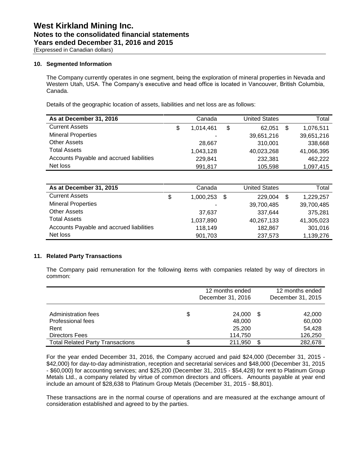#### **10. Segmented Information**

The Company currently operates in one segment, being the exploration of mineral properties in Nevada and Western Utah, USA. The Company's executive and head office is located in Vancouver, British Columbia, Canada.

Details of the geographic location of assets, liabilities and net loss are as follows:

| As at December 31, 2016                  | Canada          | <b>United States</b> | Total           |
|------------------------------------------|-----------------|----------------------|-----------------|
| <b>Current Assets</b>                    | \$<br>1,014,461 | \$<br>62.051         | \$<br>1,076,511 |
| <b>Mineral Properties</b>                | ۰               | 39,651,216           | 39,651,216      |
| <b>Other Assets</b>                      | 28.667          | 310.001              | 338,668         |
| <b>Total Assets</b>                      | 1,043,128       | 40,023,268           | 41,066,395      |
| Accounts Payable and accrued liabilities | 229.841         | 232,381              | 462,222         |
| Net loss                                 | 991,817         | 105,598              | 1,097,415       |

| As at December 31, 2015                  | Canada          |     | <b>United States</b> | Total      |
|------------------------------------------|-----------------|-----|----------------------|------------|
| <b>Current Assets</b>                    | \$<br>1,000,253 | -\$ | 229.004              | 1.229.257  |
| <b>Mineral Properties</b>                | ۰               |     | 39,700,485           | 39,700,485 |
| Other Assets                             | 37.637          |     | 337,644              | 375,281    |
| <b>Total Assets</b>                      | 1,037,890       |     | 40,267,133           | 41,305,023 |
| Accounts Payable and accrued liabilities | 118,149         |     | 182.867              | 301.016    |
| Net loss                                 | 901,703         |     | 237,573              | 1,139,276  |

#### **11. Related Party Transactions**

The Company paid remuneration for the following items with companies related by way of directors in common:

|                                         | 12 months ended<br>December 31, 2016 |      | 12 months ended<br>December 31, 2015 |
|-----------------------------------------|--------------------------------------|------|--------------------------------------|
| Administration fees                     | \$<br>24,000                         | - \$ | 42,000                               |
| Professional fees                       | 48,000                               |      | 60,000                               |
| Rent                                    | 25,200                               |      | 54.428                               |
| Directors Fees                          | 114,750                              |      | 126,250                              |
| <b>Total Related Party Transactions</b> | \$<br>211,950                        |      | 282,678                              |

For the year ended December 31, 2016, the Company accrued and paid \$24,000 (December 31, 2015 - \$42,000) for day-to-day administration, reception and secretarial services and \$48,000 (December 31, 2015 - \$60,000) for accounting services; and \$25,200 (December 31, 2015 - \$54,428) for rent to Platinum Group Metals Ltd., a company related by virtue of common directors and officers. Amounts payable at year end include an amount of \$28,638 to Platinum Group Metals (December 31, 2015 - \$8,801).

These transactions are in the normal course of operations and are measured at the exchange amount of consideration established and agreed to by the parties.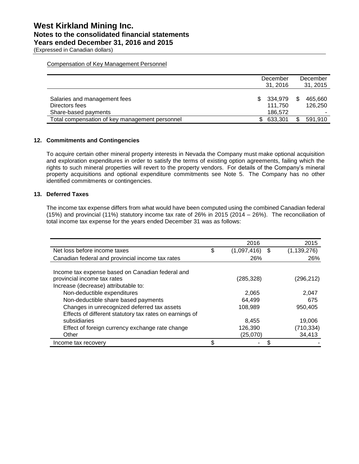(Expressed in Canadian dollars)

#### Compensation of Key Management Personnel

|                                                                        |     | December<br>31.2016           |   | December<br>31, 2015 |
|------------------------------------------------------------------------|-----|-------------------------------|---|----------------------|
| Salaries and management fees<br>Directors fees<br>Share-based payments | \$. | 334.979<br>111.750<br>186.572 | S | 465,660<br>126.250   |
| Total compensation of key management personnel                         |     | 633,301                       |   | 591,910              |

#### **12. Commitments and Contingencies**

To acquire certain other mineral property interests in Nevada the Company must make optional acquisition and exploration expenditures in order to satisfy the terms of existing option agreements, failing which the rights to such mineral properties will revert to the property vendors. For details of the Company's mineral property acquisitions and optional expenditure commitments see Note 5. The Company has no other identified commitments or contingencies.

#### **13. Deferred Taxes**

The income tax expense differs from what would have been computed using the combined Canadian federal (15%) and provincial (11%) statutory income tax rate of 26% in 2015 (2014 – 26%). The reconciliation of total income tax expense for the years ended December 31 was as follows:

|                                                                                                            | 2016                    | 2015                |
|------------------------------------------------------------------------------------------------------------|-------------------------|---------------------|
| Net loss before income taxes                                                                               | \$<br>\$<br>(1,097,416) | (1, 139, 276)       |
| Canadian federal and provincial income tax rates                                                           | 26%                     | 26%                 |
| Income tax expense based on Canadian federal and<br>provincial income tax rates                            | (285,328)               | (296,212)           |
| Increase (decrease) attributable to:<br>Non-deductible expenditures<br>Non-deductible share based payments | 2,065<br>64.499         | 2,047<br>675        |
| Changes in unrecognized deferred tax assets<br>Effects of different statutory tax rates on earnings of     | 108,989                 | 950,405             |
| subsidiaries                                                                                               | 8,455                   | 19,006              |
| Effect of foreign currency exchange rate change<br>Other                                                   | 126,390<br>(25,070)     | (710,334)<br>34,413 |
| Income tax recovery                                                                                        |                         |                     |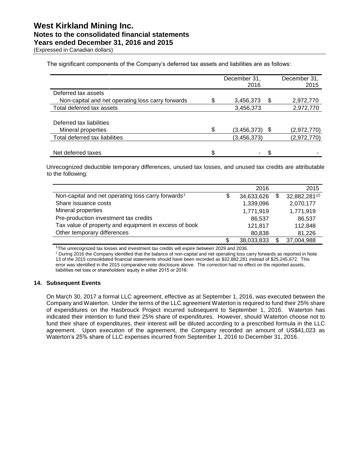(Expressed in Canadian dollars)

The significant components of the Company's deferred tax assets and liabilities are as follows:

|                                                   | December 31,           |   | December 31, |
|---------------------------------------------------|------------------------|---|--------------|
|                                                   | 2016                   |   | 2015         |
| Deferred tax assets                               |                        |   |              |
| Non-capital and net operating loss carry forwards | 3.456,373              | S | 2,972,770    |
| Total deferred tax assets                         | 3,456,373              |   | 2,972,770    |
|                                                   |                        |   |              |
| Deferred tax liabilities                          |                        |   |              |
| Mineral properties                                | \$<br>$(3,456,373)$ \$ |   | (2,972,770)  |
| Total deferred tax liabilities                    | (3,456,373)            |   | (2,972,770)  |
|                                                   |                        |   |              |
| Net deferred taxes                                | \$                     |   |              |

Unrecognized deductible temporary differences, unused tax losses, and unused tax credits are attributable to the following:

|                                                                |    | 2016       |   | 2015          |
|----------------------------------------------------------------|----|------------|---|---------------|
| Non-capital and net operating loss carry forwards <sup>1</sup> | \$ | 34,633,626 | S | 32,882,281(2) |
| Share issuance costs                                           |    | 1,339,096  |   | 2,070,177     |
| Mineral properties                                             |    | 1,771,919  |   | 1,771,919     |
| Pre-production investment tax credits                          |    | 86.537     |   | 86.537        |
| Tax value of property and equipment in excess of book          |    | 121.817    |   | 112,848       |
| Other temporary differences                                    |    | 80.838     |   | 81,226        |
|                                                                | S  | 38,033,833 |   | 37,004,988    |

<sup>1</sup>The unrecognized tax losses and investment tax credits will expire between 2029 and 2036.

<sup>2</sup> During 2016 the Company identified that the balance of non-capital and net operating loss carry forwards as reported in Note 13 of the 2015 consolidated financial statements should have been recorded as \$32,882,281 instead of \$25,245,672. This error was identified in the 2015 comparative note disclosure above. The correction had no effect on the reported assets, liabilities net loss or shareholders' equity in either 2015 or 2016.

#### **14. Subsequent Events**

On March 30, 2017 a formal LLC agreement, effective as at September 1, 2016, was executed between the Company and Waterton. Under the terms of the LLC agreement Waterton is required to fund their 25% share of expenditures on the Hasbrouck Project incurred subsequent to September 1, 2016. Waterton has indicated their intention to fund their 25% share of expenditures. However, should Waterton choose not to fund their share of expenditures, their interest will be diluted according to a prescribed formula in the LLC agreement. Upon execution of the agreement, the Company recorded an amount of US\$41,023 as Waterton's 25% share of LLC expenses incurred from September 1, 2016 to December 31, 2016.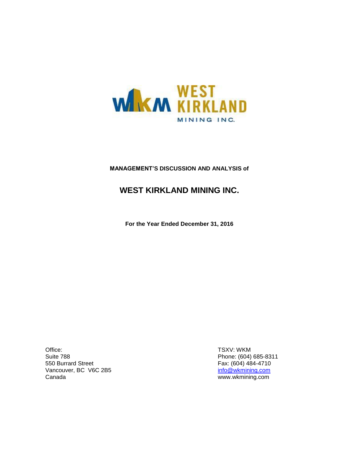

#### **MANAGEMENT'S DISCUSSION AND ANALYSIS of**

### **WEST KIRKLAND MINING INC.**

**For the Year Ended December 31, 2016**

Office: Suite 788 550 Burrard Street Vancouver, BC V6C 2B5 Canada

TSXV: WKM Phone: (604) 685-8311 Fax: (604) 484-4710 [info@wkmining.com](mailto:info@wkmining.com) www.wkmining.com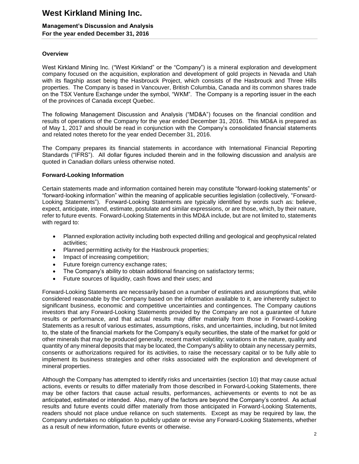#### **Management's Discussion and Analysis For the year ended December 31, 2016**

#### **Overview**

West Kirkland Mining Inc. ("West Kirkland" or the "Company") is a mineral exploration and development company focused on the acquisition, exploration and development of gold projects in Nevada and Utah with its flagship asset being the Hasbrouck Project, which consists of the Hasbrouck and Three Hills properties. The Company is based in Vancouver, British Columbia, Canada and its common shares trade on the TSX Venture Exchange under the symbol, "WKM". The Company is a reporting issuer in the each of the provinces of Canada except Quebec.

The following Management Discussion and Analysis ("MD&A") focuses on the financial condition and results of operations of the Company for the year ended December 31, 2016. This MD&A is prepared as of May 1, 2017 and should be read in conjunction with the Company's consolidated financial statements and related notes thereto for the year ended December 31, 2016.

The Company prepares its financial statements in accordance with International Financial Reporting Standards ("IFRS"). All dollar figures included therein and in the following discussion and analysis are quoted in Canadian dollars unless otherwise noted.

#### **Forward-Looking Information**

Certain statements made and information contained herein may constitute "forward-looking statements" or "forward-looking information" within the meaning of applicable securities legislation (collectively, "Forward-Looking Statements"). Forward-Looking Statements are typically identified by words such as: believe, expect, anticipate, intend, estimate, postulate and similar expressions, or are those, which, by their nature, refer to future events. Forward-Looking Statements in this MD&A include, but are not limited to, statements with regard to:

- Planned exploration activity including both expected drilling and geological and geophysical related activities;
- Planned permitting activity for the Hasbrouck properties;
- Impact of increasing competition;
- Future foreign currency exchange rates;
- The Company's ability to obtain additional financing on satisfactory terms;
- Future sources of liquidity, cash flows and their uses; and

Forward-Looking Statements are necessarily based on a number of estimates and assumptions that, while considered reasonable by the Company based on the information available to it, are inherently subject to significant business, economic and competitive uncertainties and contingences. The Company cautions investors that any Forward-Looking Statements provided by the Company are not a guarantee of future results or performance, and that actual results may differ materially from those in Forward-Looking Statements as a result of various estimates, assumptions, risks, and uncertainties, including, but not limited to, the state of the financial markets for the Company's equity securities, the state of the market for gold or other minerals that may be produced generally, recent market volatility; variations in the nature, quality and quantity of any mineral deposits that may be located, the Company's ability to obtain any necessary permits, consents or authorizations required for its activities, to raise the necessary capital or to be fully able to implement its business strategies and other risks associated with the exploration and development of mineral properties.

Although the Company has attempted to identify risks and uncertainties (section 10) that may cause actual actions, events or results to differ materially from those described in Forward-Looking Statements, there may be other factors that cause actual results, performances, achievements or events to not be as anticipated, estimated or intended. Also, many of the factors are beyond the Company's control. As actual results and future events could differ materially from those anticipated in Forward-Looking Statements, readers should not place undue reliance on such statements. Except as may be required by law, the Company undertakes no obligation to publicly update or revise any Forward-Looking Statements, whether as a result of new information, future events or otherwise.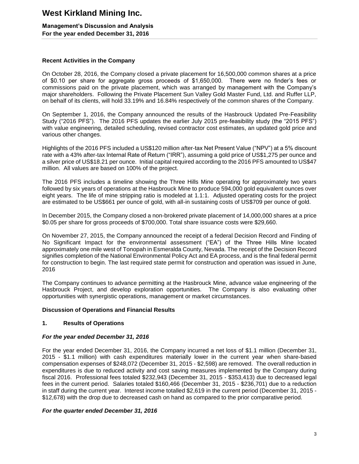**Management's Discussion and Analysis For the year ended December 31, 2016**

#### **Recent Activities in the Company**

On October 28, 2016, the Company closed a private placement for 16,500,000 common shares at a price of \$0.10 per share for aggregate gross proceeds of \$1,650,000. There were no finder's fees or commissions paid on the private placement, which was arranged by management with the Company's major shareholders. Following the Private Placement Sun Valley Gold Master Fund, Ltd. and Ruffer LLP, on behalf of its clients, will hold 33.19% and 16.84% respectively of the common shares of the Company.

On September 1, 2016, the Company announced the results of the Hasbrouck Updated Pre-Feasibility Study ("2016 PFS"). The 2016 PFS updates the earlier July 2015 pre-feasibility study (the "2015 PFS") with value engineering, detailed scheduling, revised contractor cost estimates, an updated gold price and various other changes.

Highlights of the 2016 PFS included a US\$120 million after-tax Net Present Value ("NPV") at a 5% discount rate with a 43% after-tax Internal Rate of Return ("IRR"), assuming a gold price of US\$1,275 per ounce and a silver price of US\$18.21 per ounce. Initial capital required according to the 2016 PFS amounted to US\$47 million. All values are based on 100% of the project.

The 2016 PFS includes a timeline showing the Three Hills Mine operating for approximately two years followed by six years of operations at the Hasbrouck Mine to produce 594,000 gold equivalent ounces over eight years. The life of mine stripping ratio is modeled at 1.1:1. Adjusted operating costs for the project are estimated to be US\$661 per ounce of gold, with all-in sustaining costs of US\$709 per ounce of gold.

In December 2015, the Company closed a non-brokered private placement of 14,000,000 shares at a price \$0.05 per share for gross proceeds of \$700,000. Total share issuance costs were \$29,660.

On November 27, 2015, the Company announced the receipt of a federal Decision Record and Finding of No Significant Impact for the environmental assessment ("EA") of the Three Hills Mine located approximately one mile west of Tonopah in Esmeralda County, Nevada. The receipt of the Decision Record signifies completion of the National Environmental Policy Act and EA process, and is the final federal permit for construction to begin. The last required state permit for construction and operation was issued in June, 2016

The Company continues to advance permitting at the Hasbrouck Mine, advance value engineering of the Hasbrouck Project, and develop exploration opportunities. The Company is also evaluating other opportunities with synergistic operations, management or market circumstances.

#### **Discussion of Operations and Financial Results**

#### **1. Results of Operations**

#### *For the year ended December 31, 2016*

For the year ended December 31, 2016, the Company incurred a net loss of \$1.1 million (December 31, 2015 - \$1.1 million) with cash expenditures materially lower in the current year when share-based compensation expenses of \$248,072 (December 31, 2015 - \$2,598) are removed. The overall reduction in expenditures is due to reduced activity and cost saving measures implemented by the Company during fiscal 2016. Professional fees totaled \$232,943 (December 31, 2015 - \$353,413) due to decreased legal fees in the current period. Salaries totaled \$160,466 (December 31, 2015 - \$236,701) due to a reduction in staff during the current year. Interest income totalled \$2,619 in the current period (December 31, 2015 - \$12,678) with the drop due to decreased cash on hand as compared to the prior comparative period.

#### *For the quarter ended December 31, 2016*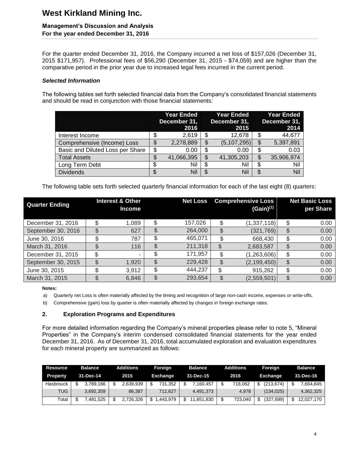#### **Management's Discussion and Analysis For the year ended December 31, 2016**

For the quarter ended December 31, 2016, the Company incurred a net loss of \$157,026 (December 31, 2015 \$171,957). Professional fees of \$56,290 (December 31, 2015 - \$74,059) and are higher than the comparative period in the prior year due to increased legal fees incurred in the current period.

#### *Selected Information*

The following tables set forth selected financial data from the Company's consolidated financial statements and should be read in conjunction with those financial statements:

|                                  | <b>Year Ended</b><br>December 31,<br>2016 |    | <b>Year Ended</b><br>December 31,<br>2015 | <b>Year Ended</b><br>December 31,<br>2014 |
|----------------------------------|-------------------------------------------|----|-------------------------------------------|-------------------------------------------|
| Interest Income                  | \$<br>2,619                               | S  | 12,678                                    | \$<br>44,677                              |
| Comprehensive (Income) Loss      | \$<br>2,278,889                           | \$ | (5, 107, 295)                             | \$<br>5,397,891                           |
| Basic and Diluted Loss per Share | \$<br>0.00                                | \$ | 0.00                                      | \$<br>0.03                                |
| <b>Total Assets</b>              | \$<br>41,066,395                          | \$ | 41,305,203                                | \$<br>35,906,974                          |
| Long Term Debt                   | \$<br>Nil                                 | \$ | Nil                                       | \$<br>Nil                                 |
| <b>Dividends</b>                 | \$<br>Nil                                 | S  | Nil                                       | \$<br>Nil                                 |

The following table sets forth selected quarterly financial information for each of the last eight (8) quarters:

| <b>Quarter Ending</b> |    | <b>Interest &amp; Other</b><br><b>Income</b> |    | <b>Net Loss</b> | <b>Comprehensive Loss</b><br>$(Gain)^{(1)}$ | <b>Net Basic Loss</b><br>per Share |            |
|-----------------------|----|----------------------------------------------|----|-----------------|---------------------------------------------|------------------------------------|------------|
| December 31, 2016     |    | 1,089                                        | \$ | 157,026         | \$                                          | (1, 337, 118)                      | \$<br>0.00 |
| September 30, 2016    | \$ | 627                                          | \$ | 264,000         | \$                                          | (321, 769)                         | \$<br>0.00 |
| June 30, 2016         | \$ | 787                                          |    | 465,071         | \$                                          | 668,430                            | \$<br>0.00 |
| March 31, 2016        |    | 116                                          | S  | 211,318         | \$                                          | 2,683,587                          | \$<br>0.00 |
| December 31, 2015     | S  |                                              |    | 171,957         | \$                                          | (1,263,606)                        | \$<br>0.00 |
| September 30, 2015    | \$ | 1,920                                        | S  | 229,428         | \$                                          | (2, 199, 450)                      | \$<br>0.00 |
| June 30, 2015         |    | 3,912                                        | \$ | 444,237         | \$                                          | 915,262                            | \$<br>0.00 |
| March 31, 2015        | \$ | 6,846                                        | \$ | 293,654         | ß.                                          | (2,559,501)                        | \$<br>0.00 |

#### **Notes:**

a) Quarterly net Loss is often materially affected by the timing and recognition of large non-cash income, expenses or write-offs.

b) Comprehensive (gain) loss by quarter is often materially affected by changes in foreign exchange rates.

#### **2. Exploration Programs and Expenditures**

For more detailed information regarding the Company's mineral properties please refer to note 5, "Mineral Properties" in the Company's interim condensed consolidated financial statements for the year ended December 31, 2016. As of December 31, 2016, total accumulated exploration and evaluation expenditures for each mineral property are summarized as follows:

| <b>Resource</b> | Balance   | <b>Additions</b><br>Additions<br>Foreign<br><b>Balance</b> |           |                 |          |           |            |      |         |                 |            | Foreign   | <b>Balance</b> |  |
|-----------------|-----------|------------------------------------------------------------|-----------|-----------------|----------|-----------|------------|------|---------|-----------------|------------|-----------|----------------|--|
| <b>Property</b> | 31-Dec-14 |                                                            | 2015      | <b>Exchange</b> |          | 31-Dec-15 |            | 2016 |         | <b>Exchange</b> |            | 31-Dec-16 |                |  |
| Hasbrouck       | 3.789.166 |                                                            | 2.639.939 |                 | 731.352  |           | .160.457   |      | 718.062 |                 | (213.674)  |           | 664.845"       |  |
| TUG.            | 3,692,359 |                                                            | 86.387    |                 | 712.627  |           | 4,491,373  |      | 4.978   |                 | (134.025)  |           | 4,362,325      |  |
| Total           | 7,481,525 |                                                            | 2.726.326 |                 | .443.979 |           | 11.651.830 |      | 723,040 |                 | (327, 699) |           | 12.027.170     |  |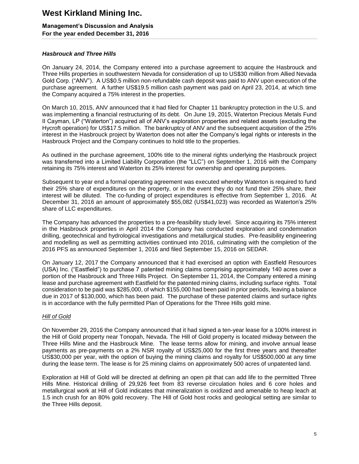#### **Management's Discussion and Analysis For the year ended December 31, 2016**

#### *Hasbrouck and Three Hills*

On January 24, 2014, the Company entered into a purchase agreement to acquire the Hasbrouck and Three Hills properties in southwestern Nevada for consideration of up to US\$30 million from Allied Nevada Gold Corp. ("ANV"). A US\$0.5 million non-refundable cash deposit was paid to ANV upon execution of the purchase agreement. A further US\$19.5 million cash payment was paid on April 23, 2014, at which time the Company acquired a 75% interest in the properties.

On March 10, 2015, ANV announced that it had filed for Chapter 11 bankruptcy protection in the U.S. and was implementing a financial restructuring of its debt. On June 19, 2015, Waterton Precious Metals Fund II Cayman, LP ("Waterton") acquired all of ANV's exploration properties and related assets (excluding the Hycroft operation) for US\$17.5 million. The bankruptcy of ANV and the subsequent acquisition of the 25% interest in the Hasbrouck project by Waterton does not alter the Company's legal rights or interests in the Hasbrouck Project and the Company continues to hold title to the properties.

As outlined in the purchase agreement, 100% title to the mineral rights underlying the Hasbrouck project was transferred into a Limited Liability Corporation (the "LLC") on September 1, 2016 with the Company retaining its 75% interest and Waterton its 25% interest for ownership and operating purposes.

Subsequent to year end a formal operating agreement was executed whereby Waterton is required to fund their 25% share of expenditures on the property, or in the event they do not fund their 25% share, their interest will be diluted. The co-funding of project expenditures is effective from September 1, 2016. At December 31, 2016 an amount of approximately \$55,082 (US\$41,023) was recorded as Waterton's 25% share of LLC expenditures.

The Company has advanced the properties to a pre-feasibility study level. Since acquiring its 75% interest in the Hasbrouck properties in April 2014 the Company has conducted exploration and condemnation drilling, geotechnical and hydrological investigations and metallurgical studies. Pre-feasibility engineering and modelling as well as permitting activities continued into 2016, culminating with the completion of the 2016 PFS as announced September 1, 2016 and filed September 15, 2016 on SEDAR.

On January 12, 2017 the Company announced that it had exercised an option with Eastfield Resources (USA) Inc. ("Eastfield") to purchase 7 patented mining claims comprising approximately 140 acres over a portion of the Hasbrouck and Three Hills Project. On September 11, 2014, the Company entered a mining lease and purchase agreement with Eastfield for the patented mining claims, including surface rights. Total consideration to be paid was \$285,000, of which \$155,000 had been paid in prior periods, leaving a balance due in 2017 of \$130,000, which has been paid. The purchase of these patented claims and surface rights is in accordance with the fully permitted Plan of Operations for the Three Hills gold mine.

#### *Hill of Gold*

On November 29, 2016 the Company announced that it had signed a ten-year lease for a 100% interest in the Hill of Gold property near Tonopah, Nevada. The Hill of Gold property is located midway between the Three Hills Mine and the Hasbrouck Mine. The lease terms allow for mining, and involve annual lease payments as pre-payments on a 2% NSR royalty of US\$25,000 for the first three years and thereafter US\$30,000 per year, with the option of buying the mining claims and royalty for US\$500,000 at any time during the lease term. The lease is for 25 mining claims on approximately 500 acres of unpatented land.

Exploration at Hill of Gold will be directed at defining an open pit that can add life to the permitted Three Hills Mine. Historical drilling of 29,926 feet from 83 reverse circulation holes and 6 core holes and metallurgical work at Hill of Gold indicates that mineralization is oxidized and amenable to heap leach at 1.5 inch crush for an 80% gold recovery. The Hill of Gold host rocks and geological setting are similar to the Three Hills deposit.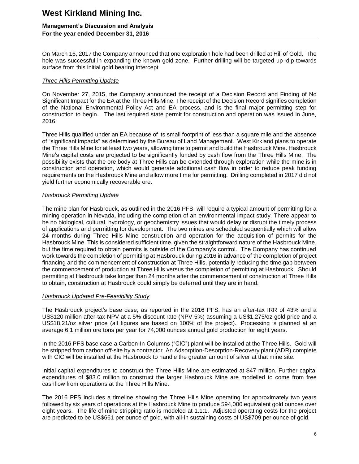#### **Management's Discussion and Analysis For the year ended December 31, 2016**

On March 16, 2017 the Company announced that one exploration hole had been drilled at Hill of Gold. The hole was successful in expanding the known gold zone. Further drilling will be targeted up–dip towards surface from this initial gold bearing intercept.

#### *Three Hills Permitting Update*

On November 27, 2015, the Company announced the receipt of a Decision Record and Finding of No Significant Impact for the EA at the Three Hills Mine. The receipt of the Decision Record signifies completion of the National Environmental Policy Act and EA process, and is the final major permitting step for construction to begin. The last required state permit for construction and operation was issued in June, 2016.

Three Hills qualified under an EA because of its small footprint of less than a square mile and the absence of "significant impacts" as determined by the Bureau of Land Management. West Kirkland plans to operate the Three Hills Mine for at least two years, allowing time to permit and build the Hasbrouck Mine. Hasbrouck Mine's capital costs are projected to be significantly funded by cash flow from the Three Hills Mine. The possibility exists that the ore body at Three Hills can be extended through exploration while the mine is in construction and operation, which would generate additional cash flow in order to reduce peak funding requirements on the Hasbrouck Mine and allow more time for permitting. Drilling completed in 2017 did not yield further economically recoverable ore.

#### *Hasbrouck Permitting Update*

The mine plan for Hasbrouck, as outlined in the 2016 PFS, will require a typical amount of permitting for a mining operation in Nevada, including the completion of an environmental impact study. There appear to be no biological, cultural, hydrology, or geochemistry issues that would delay or disrupt the timely process of applications and permitting for development. The two mines are scheduled sequentially which will allow 24 months during Three Hills Mine construction and operation for the acquisition of permits for the Hasbrouck Mine. This is considered sufficient time, given the straightforward nature of the Hasbrouck Mine, but the time required to obtain permits is outside of the Company's control. The Company has continued work towards the completion of permitting at Hasbrouck during 2016 in advance of the completion of project financing and the commencement of construction at Three Hills, potentially reducing the time gap between the commencement of production at Three Hills versus the completion of permitting at Hasbrouck. Should permitting at Hasbrouck take longer than 24 months after the commencement of construction at Three Hills to obtain, construction at Hasbrouck could simply be deferred until they are in hand.

#### *Hasbrouck Updated Pre-Feasibility Study*

The Hasbrouck project's base case, as reported in the 2016 PFS, has an after-tax IRR of 43% and a US\$120 million after-tax NPV at a 5% discount rate (NPV 5%) assuming a US\$1,275/oz gold price and a US\$18.21/oz silver price (all figures are based on 100% of the project). Processing is planned at an average 6.1 million ore tons per year for 74,000 ounces annual gold production for eight years.

In the 2016 PFS base case a Carbon-In-Columns ("CIC") plant will be installed at the Three Hills. Gold will be stripped from carbon off-site by a contractor. An Adsorption-Desorption-Recovery plant (ADR) complete with CIC will be installed at the Hasbrouck to handle the greater amount of silver at that mine site.

Initial capital expenditures to construct the Three Hills Mine are estimated at \$47 million. Further capital expenditures of \$83.0 million to construct the larger Hasbrouck Mine are modelled to come from free cashflow from operations at the Three Hills Mine.

The 2016 PFS includes a timeline showing the Three Hills Mine operating for approximately two years followed by six years of operations at the Hasbrouck Mine to produce 594,000 equivalent gold ounces over eight years. The life of mine stripping ratio is modeled at 1.1:1. Adjusted operating costs for the project are predicted to be US\$661 per ounce of gold, with all-in sustaining costs of US\$709 per ounce of gold.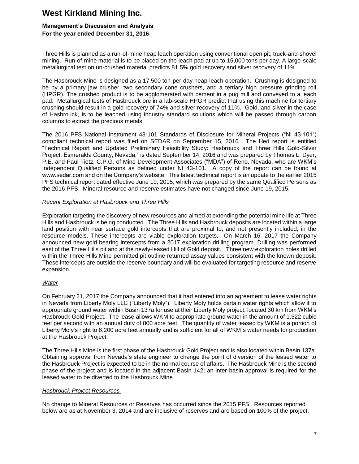#### **Management's Discussion and Analysis For the year ended December 31, 2016**

Three Hills is planned as a run-of-mine heap leach operation using conventional open pit, truck-and-shovel mining. Run-of-mine material is to be placed on the leach pad at up to 15,000 tons per day. A large-scale metallurgical test on un-crushed material predicts 81.5% gold recovery and silver recovery of 11%.

The Hasbrouck Mine is designed as a 17,500 ton-per-day heap-leach operation. Crushing is designed to be by a primary jaw crusher, two secondary cone crushers, and a tertiary high pressure grinding roll (HPGR). The crushed product is to be agglomerated with cement in a pug mill and conveyed to a leach pad. Metallurgical tests of Hasbrouck ore in a lab-scale HPGR predict that using this machine for tertiary crushing should result in a gold recovery of 74% and silver recovery of 11%. Gold, and silver in the case of Hasbrouck, is to be leached using industry standard solutions which will be passed through carbon columns to extract the precious metals.

The 2016 PFS National Instrument 43-101 Standards of Disclosure for Mineral Projects ("NI 43-101") compliant technical report was filed on SEDAR on September 15, 2016. The filed report is entitled "Technical Report and Updated Preliminary Feasibility Study: Hasbrouck and Three Hills Gold-Silver Project, Esmeralda County, Nevada," is dated September 14, 2016 and was prepared by Thomas L. Dyer, P.E. and Paul Tietz, C.P.G. of Mine Development Associates ("MDA") of Reno, Nevada, who are WKM's Independent Qualified Persons as defined under NI 43-101. A copy of the report can be found at www.sedar.com and on the Company's website. This latest technical report is an update to the earlier 2015 PFS technical report dated effective June 19, 2015, which was prepared by the same Qualified Persons as the 2016 PFS. Mineral resource and reserve estimates have not changed since June 19, 2015.

#### *Recent Exploration at Hasbrouck and Three Hills*

Exploration targeting the discovery of new resources and aimed at extending the potential mine life at Three Hills and Hasbrouck is being conducted. The Three Hills and Hasbrouck deposits are located within a large land position with near surface gold intercepts that are proximal to, and not presently included, in the resource models. These intercepts are viable exploration targets. On March 16, 2017 the Company announced new gold bearing intercepts from a 2017 exploration drilling program. Drilling was performed east of the Three Hills pit and at the newly-leased Hill of Gold deposit. Three new exploration holes drilled within the Three Hills Mine permitted pit outline returned assay values consistent with the known deposit. These intercepts are outside the reserve boundary and will be evaluated for targeting resource and reserve expansion.

#### *Water*

On February 21, 2017 the Company announced that it had entered into an agreement to lease water rights in Nevada from Liberty Moly LLC ("Liberty Moly"). Liberty Moly holds certain water rights which allow it to appropriate ground water within Basin 137a for use at their Liberty Moly project, located 30 km from WKM's Hasbrouck Gold Project. The lease allows WKM to appropriate ground water in the amount of 1.522 cubic feet per second with an annual duty of 800 acre feet. The quantity of water leased by WKM is a portion of Liberty Moly's right to 6,200 acre feet annually and is sufficient for all of WKM`s water needs for production at the Hasbrouck Project.

The Three Hills Mine is the first phase of the Hasbrouck Gold Project and is also located within Basin 137a. Obtaining approval from Nevada's state engineer to change the point of diversion of the leased water to the Hasbrouck Project is expected to be in the normal course of affairs. The Hasbrouck Mine is the second phase of the project and is located in the adjacent Basin 142; an inter-basin approval is required for the leased water to be diverted to the Hasbrouck Mine.

#### *Hasbrouck Project Resources*

No change to Mineral Resources or Reserves has occurred since the 2015 PFS. Resources reported below are as at November 3, 2014 and are inclusive of reserves and are based on 100% of the project.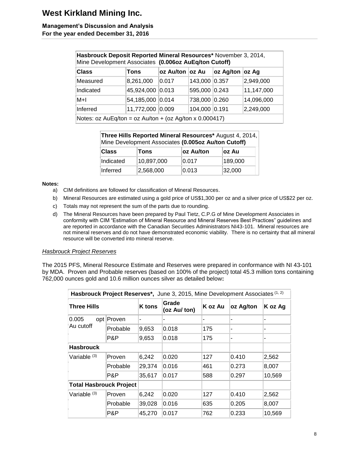#### **Management's Discussion and Analysis For the year ended December 31, 2016**

| Hasbrouck Deposit Reported Mineral Resources* November 3, 2014,<br>Mine Development Associates (0.006oz AuEq/ton Cutoff) |                  |       |               |  |            |  |  |  |  |
|--------------------------------------------------------------------------------------------------------------------------|------------------|-------|---------------|--|------------|--|--|--|--|
| oz Au/ton ∣oz Au<br>oz Ag/ton oz Ag<br><b>Class</b><br>Tons                                                              |                  |       |               |  |            |  |  |  |  |
| Measured                                                                                                                 | 8,261,000        | 0.017 | 143,000 0.357 |  | 2,949,000  |  |  |  |  |
| Indicated                                                                                                                | 45,924,000 0.013 |       | 595,000 0.243 |  | 11,147,000 |  |  |  |  |
| M+I                                                                                                                      | 54,185,000 0.014 |       | 738,000 0.260 |  | 14,096,000 |  |  |  |  |
| $104,000$ 0.191<br>11,772,000<br>2,249,000<br>Inferred<br> 0.009                                                         |                  |       |               |  |            |  |  |  |  |
| Notes: $oz \text{ AuEq/ton} = oz \text{ Au/ton} + (oz \text{ Ag/ton} \times 0.000417)$                                   |                  |       |               |  |            |  |  |  |  |

**Three Hills Reported Mineral Resources\*** August 4, 2014, Mine Development Associates **(0.005oz Au/ton Cutoff)**

| <b>Class</b>    | Tons       | ∣oz Au/ton | loz Au  |  |
|-----------------|------------|------------|---------|--|
| Indicated       | 10,897,000 | 0.017      | 189.000 |  |
| <b>Inferred</b> | 2,568,000  | 0.013      | 32,000  |  |

#### **Notes:**

- a) CIM definitions are followed for classification of Mineral Resources.
- b) Mineral Resources are estimated using a gold price of US\$1,300 per oz and a silver price of US\$22 per oz.
- c) Totals may not represent the sum of the parts due to rounding.
- d) The Mineral Resources have been prepared by Paul Tietz, C.P.G of Mine Development Associates in conformity with CIM "Estimation of Mineral Resource and Mineral Reserves Best Practices" guidelines and are reported in accordance with the Canadian Securities Administrators NI43-101. Mineral resources are not mineral reserves and do not have demonstrated economic viability. There is no certainty that all mineral resource will be converted into mineral reserve.

#### *Hasbrouck Project Reserves*

The 2015 PFS, Mineral Resource Estimate and Reserves were prepared in conformance with NI 43-101 by MDA. Proven and Probable reserves (based on 100% of the project) total 45.3 million tons containing 762,000 ounces gold and 10.6 million ounces silver as detailed below**:**

| Hasbrouck Project Reserves*, June 3, 2015, Mine Development Associates (1, 2) |          |               |                       |         |           |         |
|-------------------------------------------------------------------------------|----------|---------------|-----------------------|---------|-----------|---------|
| <b>Three Hills</b>                                                            |          | <b>K</b> tons | Grade<br>(oz Au/ ton) | K oz Au | oz Ag/ton | K oz Ag |
| 0.005<br>opt  <br>Au cutoff                                                   | Proven   |               |                       |         |           |         |
|                                                                               | Probable | 9,653         | 0.018                 | 175     |           |         |
|                                                                               | P&P      | 9,653         | 0.018                 | 175     | ۰         |         |
| <b>Hasbrouck</b>                                                              |          |               |                       |         |           |         |
| Variable <sup>(3)</sup>                                                       | Proven   | 6,242         | 0.020                 | 127     | 0.410     | 2,562   |
|                                                                               | Probable | 29,374        | 0.016                 | 461     | 0.273     | 8,007   |
|                                                                               | P&P      | 35,617        | 0.017                 | 588     | 0.297     | 10,569  |
| <b>Total Hasbrouck Project</b>                                                |          |               |                       |         |           |         |
| Variable <sup>(3)</sup>                                                       | Proven   | 6,242         | 0.020                 | 127     | 0.410     | 2,562   |
|                                                                               | Probable | 39,028        | 0.016                 | 635     | 0.205     | 8,007   |
|                                                                               | P&P      | 45,270        | 0.017                 | 762     | 0.233     | 10,569  |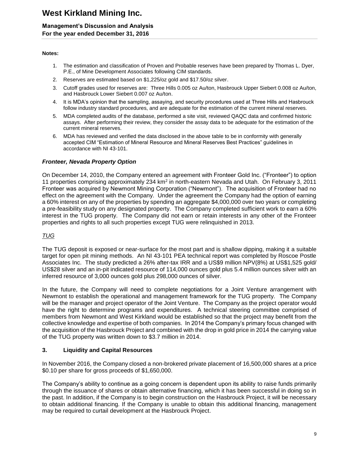#### **Management's Discussion and Analysis For the year ended December 31, 2016**

#### **Notes:**

- 1. The estimation and classification of Proven and Probable reserves have been prepared by Thomas L. Dyer, P.E., of Mine Development Associates following CIM standards.
- 2. Reserves are estimated based on \$1,225/oz gold and \$17.50/oz silver.
- 3. Cutoff grades used for reserves are: Three Hills 0.005 oz Au/ton, Hasbrouck Upper Siebert 0.008 oz Au/ton, and Hasbrouck Lower Siebert 0.007 oz Au/ton.
- 4. It is MDA's opinion that the sampling, assaying, and security procedures used at Three Hills and Hasbrouck follow industry standard procedures, and are adequate for the estimation of the current mineral reserves.
- 5. MDA completed audits of the database, performed a site visit, reviewed QAQC data and confirmed historic assays. After performing their review, they consider the assay data to be adequate for the estimation of the current mineral reserves.
- 6. MDA has reviewed and verified the data disclosed in the above table to be in conformity with generally accepted CIM "Estimation of Mineral Resource and Mineral Reserves Best Practices" guidelines in accordance with NI 43-101.

#### *Fronteer, Nevada Property Option*

On December 14, 2010, the Company entered an agreement with Fronteer Gold Inc. ("Fronteer") to option 11 properties comprising approximately 234 km<sup>2</sup> in north-eastern Nevada and Utah. On February 3, 2011 Fronteer was acquired by Newmont Mining Corporation ("Newmont"). The acquisition of Fronteer had no effect on the agreement with the Company. Under the agreement the Company had the option of earning a 60% interest on any of the properties by spending an aggregate \$4,000,000 over two years or completing a pre-feasibility study on any designated property. The Company completed sufficient work to earn a 60% interest in the TUG property. The Company did not earn or retain interests in any other of the Fronteer properties and rights to all such properties except TUG were relinquished in 2013.

#### *TUG*

The TUG deposit is exposed or near-surface for the most part and is shallow dipping, making it a suitable target for open pit mining methods. An NI 43-101 PEA technical report was completed by Roscoe Postle Associates Inc. The study predicted a 26% after-tax IRR and a US\$9 million NPV(8%) at US\$1,525 gold/ US\$28 silver and an in-pit indicated resource of 114,000 ounces gold plus 5.4 million ounces silver with an inferred resource of 3,000 ounces gold plus 298,000 ounces of silver.

In the future, the Company will need to complete negotiations for a Joint Venture arrangement with Newmont to establish the operational and management framework for the TUG property. The Company will be the manager and project operator of the Joint Venture. The Company as the project operator would have the right to determine programs and expenditures. A technical steering committee comprised of members from Newmont and West Kirkland would be established so that the project may benefit from the collective knowledge and expertise of both companies. In 2014 the Company's primary focus changed with the acquisition of the Hasbrouck Project and combined with the drop in gold price in 2014 the carrying value of the TUG property was written down to \$3.7 million in 2014.

#### **3. Liquidity and Capital Resources**

In November 2016, the Company closed a non-brokered private placement of 16,500,000 shares at a price \$0.10 per share for gross proceeds of \$1,650,000.

The Company's ability to continue as a going concern is dependent upon its ability to raise funds primarily through the issuance of shares or obtain alternative financing, which it has been successful in doing so in the past. In addition, if the Company is to begin construction on the Hasbrouck Project, it will be necessary to obtain additional financing. If the Company is unable to obtain this additional financing, management may be required to curtail development at the Hasbrouck Project.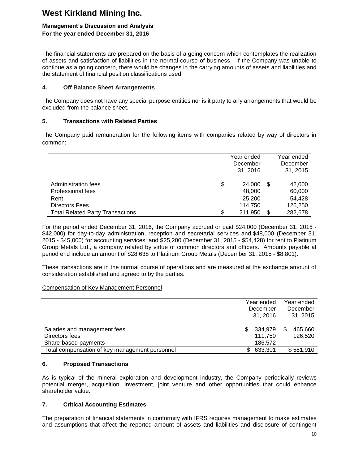#### **Management's Discussion and Analysis For the year ended December 31, 2016**

The financial statements are prepared on the basis of a going concern which contemplates the realization of assets and satisfaction of liabilities in the normal course of business. If the Company was unable to continue as a going concern, there would be changes in the carrying amounts of assets and liabilities and the statement of financial position classifications used.

#### **4. Off Balance Sheet Arrangements**

The Company does not have any special purpose entities nor is it party to any arrangements that would be excluded from the balance sheet.

#### **5. Transactions with Related Parties**

The Company paid remuneration for the following items with companies related by way of directors in common:

|                                                                           | Year ended<br>December<br>31, 2016          |    | Year ended<br>December<br>31, 2015    |
|---------------------------------------------------------------------------|---------------------------------------------|----|---------------------------------------|
| Administration fees<br>Professional fees<br>Rent<br><b>Directors Fees</b> | \$<br>24.000<br>48,000<br>25,200<br>114,750 | S  | 42,000<br>60,000<br>54.428<br>126,250 |
| <b>Total Related Party Transactions</b>                                   | \$<br>211.950                               | \$ | 282,678                               |

For the period ended December 31, 2016, the Company accrued or paid \$24,000 (December 31, 2015 - \$42,000) for day-to-day administration, reception and secretarial services and \$48,000 (December 31, 2015 - \$45,000) for accounting services; and \$25,200 (December 31, 2015 - \$54,428) for rent to Platinum Group Metals Ltd., a company related by virtue of common directors and officers. Amounts payable at period end include an amount of \$28,638 to Platinum Group Metals (December 31, 2015 - \$8,801).

These transactions are in the normal course of operations and are measured at the exchange amount of consideration established and agreed to by the parties.

#### Compensation of Key Management Personnel

| Year ended<br>December<br>31, 2016                                                                           | Year ended<br>December<br>31, 2015 |
|--------------------------------------------------------------------------------------------------------------|------------------------------------|
| Salaries and management fees<br>334.979<br>S<br>Directors fees<br>111,750<br>Share-based payments<br>186,572 | 465,660<br>126,520                 |
| Total compensation of key management personnel<br>633,301                                                    | \$581,910                          |

#### **6. Proposed Transactions**

As is typical of the mineral exploration and development industry, the Company periodically reviews potential merger, acquisition, investment, joint venture and other opportunities that could enhance shareholder value.

#### **7. Critical Accounting Estimates**

The preparation of financial statements in conformity with IFRS requires management to make estimates and assumptions that affect the reported amount of assets and liabilities and disclosure of contingent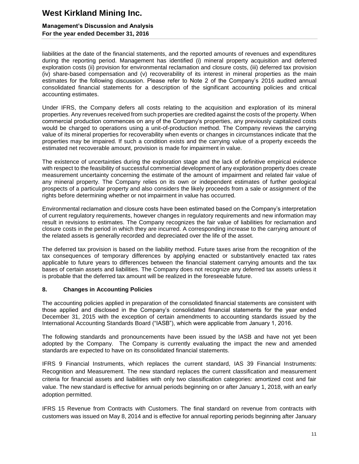#### **Management's Discussion and Analysis For the year ended December 31, 2016**

liabilities at the date of the financial statements, and the reported amounts of revenues and expenditures during the reporting period. Management has identified (i) mineral property acquisition and deferred exploration costs (ii) provision for environmental reclamation and closure costs, (iii) deferred tax provision (iv) share-based compensation and (v) recoverability of its interest in mineral properties as the main estimates for the following discussion. Please refer to Note 2 of the Company's 2016 audited annual consolidated financial statements for a description of the significant accounting policies and critical accounting estimates.

Under IFRS, the Company defers all costs relating to the acquisition and exploration of its mineral properties. Any revenues received from such properties are credited against the costs of the property. When commercial production commences on any of the Company's properties, any previously capitalized costs would be charged to operations using a unit-of-production method. The Company reviews the carrying value of its mineral properties for recoverability when events or changes in circumstances indicate that the properties may be impaired. If such a condition exists and the carrying value of a property exceeds the estimated net recoverable amount, provision is made for impairment in value.

The existence of uncertainties during the exploration stage and the lack of definitive empirical evidence with respect to the feasibility of successful commercial development of any exploration property does create measurement uncertainty concerning the estimate of the amount of impairment and related fair value of any mineral property. The Company relies on its own or independent estimates of further geological prospects of a particular property and also considers the likely proceeds from a sale or assignment of the rights before determining whether or not impairment in value has occurred.

Environmental reclamation and closure costs have been estimated based on the Company's interpretation of current regulatory requirements, however changes in regulatory requirements and new information may result in revisions to estimates. The Company recognizes the fair value of liabilities for reclamation and closure costs in the period in which they are incurred. A corresponding increase to the carrying amount of the related assets is generally recorded and depreciated over the life of the asset.

The deferred tax provision is based on the liability method. Future taxes arise from the recognition of the tax consequences of temporary differences by applying enacted or substantively enacted tax rates applicable to future years to differences between the financial statement carrying amounts and the tax bases of certain assets and liabilities. The Company does not recognize any deferred tax assets unless it is probable that the deferred tax amount will be realized in the foreseeable future.

#### **8. Changes in Accounting Policies**

The accounting policies applied in preparation of the consolidated financial statements are consistent with those applied and disclosed in the Company's consolidated financial statements for the year ended December 31, 2015 with the exception of certain amendments to accounting standards issued by the International Accounting Standards Board ("IASB"), which were applicable from January 1, 2016.

The following standards and pronouncements have been issued by the IASB and have not yet been adopted by the Company. The Company is currently evaluating the impact the new and amended standards are expected to have on its consolidated financial statements.

IFRS 9 Financial Instruments, which replaces the current standard, IAS 39 Financial Instruments: Recognition and Measurement. The new standard replaces the current classification and measurement criteria for financial assets and liabilities with only two classification categories: amortized cost and fair value. The new standard is effective for annual periods beginning on or after January 1, 2018, with an early adoption permitted.

IFRS 15 Revenue from Contracts with Customers. The final standard on revenue from contracts with customers was issued on May 8, 2014 and is effective for annual reporting periods beginning after January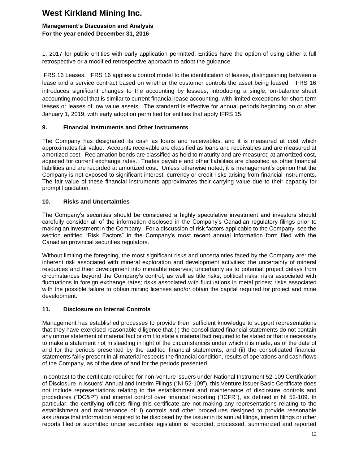#### **Management's Discussion and Analysis For the year ended December 31, 2016**

1, 2017 for public entities with early application permitted. Entities have the option of using either a full retrospective or a modified retrospective approach to adopt the guidance.

IFRS 16 Leases. IFRS 16 applies a control model to the identification of leases, distinguishing between a lease and a service contract based on whether the customer controls the asset being leased. IFRS 16 introduces significant changes to the accounting by lessees, introducing a single, on-balance sheet accounting model that is similar to current financial lease accounting, with limited exceptions for short-term leases or leases of low value assets. The standard is effective for annual periods beginning on or after January 1, 2019, with early adoption permitted for entities that apply IFRS 15.

#### **9. Financial Instruments and Other Instruments**

The Company has designated its cash as loans and receivables, and it is measured at cost which approximates fair value. Accounts receivable are classified as loans and receivables and are measured at amortized cost. Reclamation bonds are classified as held to maturity and are measured at amortized cost, adjusted for current exchange rates. Trades payable and other liabilities are classified as other financial liabilities and are recorded at amortized cost. Unless otherwise noted, it is management's opinion that the Company is not exposed to significant interest, currency or credit risks arising from financial instruments. The fair value of these financial instruments approximates their carrying value due to their capacity for prompt liquidation.

#### **10. Risks and Uncertainties**

The Company's securities should be considered a highly speculative investment and investors should carefully consider all of the information disclosed in the Company's Canadian regulatory filings prior to making an investment in the Company. For a discussion of risk factors applicable to the Company, see the section entitled "Risk Factors" in the Company's most recent annual information form filed with the Canadian provincial securities regulators.

Without limiting the foregoing, the most significant risks and uncertainties faced by the Company are: the inherent risk associated with mineral exploration and development activities; the uncertainty of mineral resources and their development into mineable reserves; uncertainty as to potential project delays from circumstances beyond the Company's control; as well as title risks; political risks; risks associated with fluctuations in foreign exchange rates; risks associated with fluctuations in metal prices; risks associated with the possible failure to obtain mining licenses and/or obtain the capital required for project and mine development.

#### **11. Disclosure on Internal Controls**

Management has established processes to provide them sufficient knowledge to support representations that they have exercised reasonable diligence that (i) the consolidated financial statements do not contain any untrue statement of material fact or omit to state a material fact required to be stated or that is necessary to make a statement not misleading in light of the circumstances under which it is made, as of the date of and for the periods presented by the audited financial statements; and (ii) the consolidated financial statements fairly present in all material respects the financial condition, results of operations and cash flows of the Company, as of the date of and for the periods presented.

In contrast to the certificate required for non-venture issuers under National Instrument 52-109 Certification of Disclosure in Issuers' Annual and Interim Filings ("NI 52-109"), this Venture Issuer Basic Certificate does not include representations relating to the establishment and maintenance of disclosure controls and procedures ("DC&P") and internal control over financial reporting ("ICFR"), as defined in NI 52-109. In particular, the certifying officers filing this certificate are not making any representations relating to the establishment and maintenance of: i) controls and other procedures designed to provide reasonable assurance that information required to be disclosed by the issuer in its annual filings, interim filings or other reports filed or submitted under securities legislation is recorded, processed, summarized and reported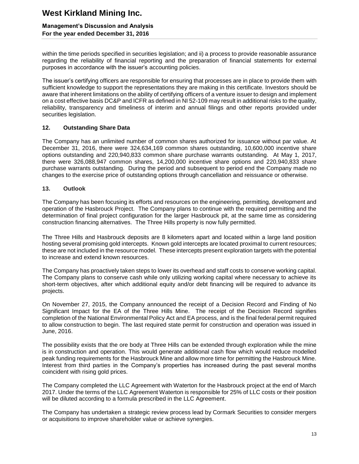#### **Management's Discussion and Analysis For the year ended December 31, 2016**

within the time periods specified in securities legislation; and ii) a process to provide reasonable assurance regarding the reliability of financial reporting and the preparation of financial statements for external purposes in accordance with the issuer's accounting policies.

The issuer's certifying officers are responsible for ensuring that processes are in place to provide them with sufficient knowledge to support the representations they are making in this certificate. Investors should be aware that inherent limitations on the ability of certifying officers of a venture issuer to design and implement on a cost effective basis DC&P and ICFR as defined in NI 52-109 may result in additional risks to the quality, reliability, transparency and timeliness of interim and annual filings and other reports provided under securities legislation.

#### **12. Outstanding Share Data**

The Company has an unlimited number of common shares authorized for issuance without par value. At December 31, 2016, there were 324,634,169 common shares outstanding, 10,600,000 incentive share options outstanding and 220,940,833 common share purchase warrants outstanding. At May 1, 2017, there were 326,088,947 common shares, 14,200,000 incentive share options and 220,940,833 share purchase warrants outstanding. During the period and subsequent to period end the Company made no changes to the exercise price of outstanding options through cancellation and reissuance or otherwise.

#### **13. Outlook**

The Company has been focusing its efforts and resources on the engineering, permitting, development and operation of the Hasbrouck Project. The Company plans to continue with the required permitting and the determination of final project configuration for the larger Hasbrouck pit, at the same time as considering construction financing alternatives. The Three Hills property is now fully permitted.

The Three Hills and Hasbrouck deposits are 8 kilometers apart and located within a large land position hosting several promising gold intercepts. Known gold intercepts are located proximal to current resources; these are not included in the resource model. These intercepts present exploration targets with the potential to increase and extend known resources.

The Company has proactively taken steps to lower its overhead and staff costs to conserve working capital. The Company plans to conserve cash while only utilizing working capital where necessary to achieve its short-term objectives, after which additional equity and/or debt financing will be required to advance its projects.

On November 27, 2015, the Company announced the receipt of a Decision Record and Finding of No Significant Impact for the EA of the Three Hills Mine. The receipt of the Decision Record signifies completion of the National Environmental Policy Act and EA process, and is the final federal permit required to allow construction to begin. The last required state permit for construction and operation was issued in June, 2016.

The possibility exists that the ore body at Three Hills can be extended through exploration while the mine is in construction and operation. This would generate additional cash flow which would reduce modelled peak funding requirements for the Hasbrouck Mine and allow more time for permitting the Hasbrouck Mine. Interest from third parties in the Company's properties has increased during the past several months coincident with rising gold prices.

The Company completed the LLC Agreement with Waterton for the Hasbrouck project at the end of March 2017. Under the terms of the LLC Agreement Waterton is responsible for 25% of LLC costs or their position will be diluted according to a formula prescribed in the LLC Agreement.

The Company has undertaken a strategic review process lead by Cormark Securities to consider mergers or acquisitions to improve shareholder value or achieve synergies.